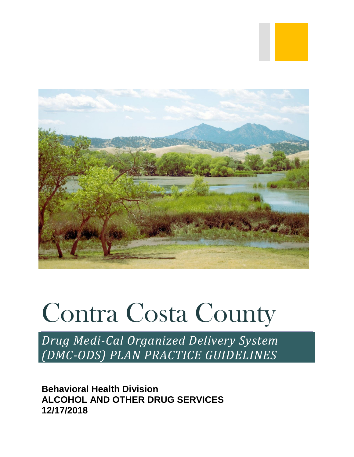

# Contra Costa County

*Drug Medi-Cal Organized Delivery System (DMC-ODS) PLAN PRACTICE GUIDELINES*

**Behavioral Health Division ALCOHOL AND OTHER DRUG SERVICES 12/17/2018**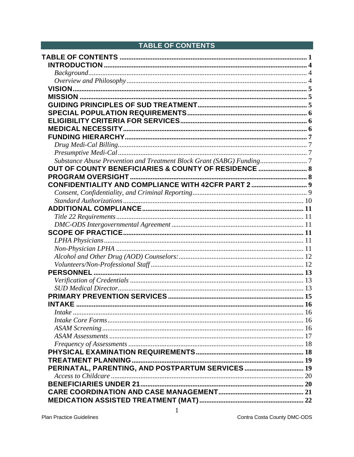<span id="page-1-0"></span>

| <b>TABLE OF CONTENTS</b>                                             |  |
|----------------------------------------------------------------------|--|
|                                                                      |  |
|                                                                      |  |
|                                                                      |  |
|                                                                      |  |
|                                                                      |  |
|                                                                      |  |
|                                                                      |  |
|                                                                      |  |
|                                                                      |  |
|                                                                      |  |
|                                                                      |  |
|                                                                      |  |
|                                                                      |  |
| Substance Abuse Prevention and Treatment Block Grant (SABG) Funding7 |  |
| OUT OF COUNTY BENEFICIARIES & COUNTY OF RESIDENCE  8                 |  |
|                                                                      |  |
| CONFIDENTIALITY AND COMPLIANCE WITH 42CFR PART 2  9                  |  |
|                                                                      |  |
|                                                                      |  |
|                                                                      |  |
|                                                                      |  |
|                                                                      |  |
|                                                                      |  |
|                                                                      |  |
|                                                                      |  |
|                                                                      |  |
|                                                                      |  |
|                                                                      |  |
|                                                                      |  |
|                                                                      |  |
|                                                                      |  |
|                                                                      |  |
|                                                                      |  |
|                                                                      |  |
|                                                                      |  |
|                                                                      |  |
|                                                                      |  |
|                                                                      |  |
| PERINATAL, PARENTING, AND POSTPARTUM SERVICES 19                     |  |
|                                                                      |  |
|                                                                      |  |
|                                                                      |  |
|                                                                      |  |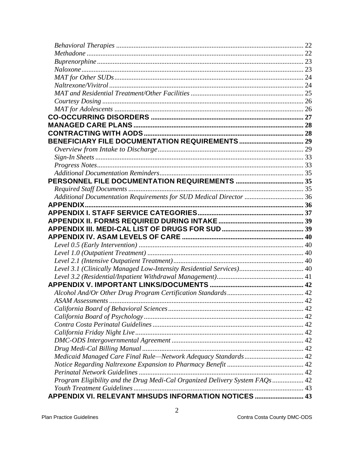| Level 3.1 (Clinically Managed Low-Intensity Residential Services) 40<br>Program Eligibility and the Drug Medi-Cal Organized Delivery System FAQs  42<br>APPENDIX VI. RELEVANT MHSUDS INFORMATION NOTICES  43 |  |
|--------------------------------------------------------------------------------------------------------------------------------------------------------------------------------------------------------------|--|
|                                                                                                                                                                                                              |  |
|                                                                                                                                                                                                              |  |
|                                                                                                                                                                                                              |  |
|                                                                                                                                                                                                              |  |
|                                                                                                                                                                                                              |  |
|                                                                                                                                                                                                              |  |
|                                                                                                                                                                                                              |  |
|                                                                                                                                                                                                              |  |
|                                                                                                                                                                                                              |  |
|                                                                                                                                                                                                              |  |
|                                                                                                                                                                                                              |  |
|                                                                                                                                                                                                              |  |
|                                                                                                                                                                                                              |  |
|                                                                                                                                                                                                              |  |
|                                                                                                                                                                                                              |  |
|                                                                                                                                                                                                              |  |
|                                                                                                                                                                                                              |  |
|                                                                                                                                                                                                              |  |
|                                                                                                                                                                                                              |  |
|                                                                                                                                                                                                              |  |
|                                                                                                                                                                                                              |  |
|                                                                                                                                                                                                              |  |
|                                                                                                                                                                                                              |  |
|                                                                                                                                                                                                              |  |
|                                                                                                                                                                                                              |  |
|                                                                                                                                                                                                              |  |
|                                                                                                                                                                                                              |  |
|                                                                                                                                                                                                              |  |
|                                                                                                                                                                                                              |  |
|                                                                                                                                                                                                              |  |
|                                                                                                                                                                                                              |  |
|                                                                                                                                                                                                              |  |
|                                                                                                                                                                                                              |  |
|                                                                                                                                                                                                              |  |
|                                                                                                                                                                                                              |  |
|                                                                                                                                                                                                              |  |
|                                                                                                                                                                                                              |  |
|                                                                                                                                                                                                              |  |
|                                                                                                                                                                                                              |  |
|                                                                                                                                                                                                              |  |
|                                                                                                                                                                                                              |  |
|                                                                                                                                                                                                              |  |
|                                                                                                                                                                                                              |  |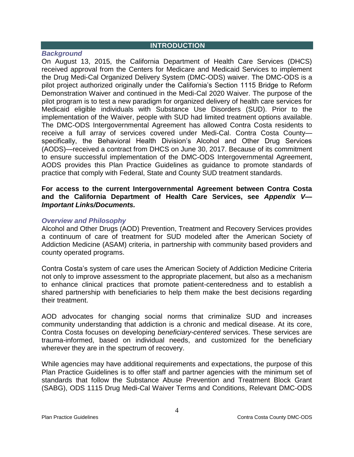#### <span id="page-4-0"></span>**INTRODUCTION**

#### <span id="page-4-1"></span>*Background*

On August 13, 2015, the California Department of Health Care Services (DHCS) received approval from the Centers for Medicare and Medicaid Services to implement the Drug Medi-Cal Organized Delivery System (DMC-ODS) waiver. The DMC-ODS is a pilot project authorized originally under the California's Section 1115 Bridge to Reform Demonstration Waiver and continued in the Medi-Cal 2020 Waiver. The purpose of the pilot program is to test a new paradigm for organized delivery of health care services for Medicaid eligible individuals with Substance Use Disorders (SUD). Prior to the implementation of the Waiver, people with SUD had limited treatment options available. The DMC-ODS Intergovernmental Agreement has allowed Contra Costa residents to receive a full array of services covered under Medi-Cal. Contra Costa County specifically, the Behavioral Health Division's Alcohol and Other Drug Services (AODS)—received a contract from DHCS on June 30, 2017. Because of its commitment to ensure successful implementation of the DMC-ODS Intergovernmental Agreement, AODS provides this Plan Practice Guidelines as guidance to promote standards of practice that comply with Federal, State and County SUD treatment standards.

#### **For access to the current Intergovernmental Agreement between Contra Costa and the California Department of Health Care Services, see** *Appendix V— Important Links/Documents.*

#### <span id="page-4-2"></span>*Overview and Philosophy*

Alcohol and Other Drugs (AOD) Prevention, Treatment and Recovery Services provides a continuum of care of treatment for SUD modeled after the American Society of Addiction Medicine (ASAM) criteria, in partnership with community based providers and county operated programs.

Contra Costa's system of care uses the American Society of Addiction Medicine Criteria not only to improve assessment to the appropriate placement, but also as a mechanism to enhance clinical practices that promote patient-centeredness and to establish a shared partnership with beneficiaries to help them make the best decisions regarding their treatment.

AOD advocates for changing social norms that criminalize SUD and increases community understanding that addiction is a chronic and medical disease. At its core, Contra Costa focuses on developing *beneficiary-centered* services. These services are trauma-informed, based on individual needs, and customized for the beneficiary wherever they are in the spectrum of recovery.

While agencies may have additional requirements and expectations, the purpose of this Plan Practice Guidelines is to offer staff and partner agencies with the minimum set of standards that follow the Substance Abuse Prevention and Treatment Block Grant (SABG), ODS 1115 Drug Medi-Cal Waiver Terms and Conditions, Relevant DMC-ODS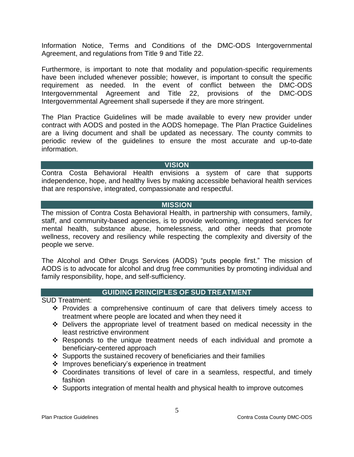Information Notice, Terms and Conditions of the DMC-ODS Intergovernmental Agreement, and regulations from Title 9 and Title 22.

Furthermore, is important to note that modality and population-specific requirements have been included whenever possible; however, is important to consult the specific requirement as needed. In the event of conflict between the DMC-ODS Intergovernmental Agreement and Title 22, provisions of the DMC-ODS Intergovernmental Agreement shall supersede if they are more stringent.

The Plan Practice Guidelines will be made available to every new provider under contract with AODS and posted in the AODS homepage. The Plan Practice Guidelines are a living document and shall be updated as necessary. The county commits to periodic review of the guidelines to ensure the most accurate and up-to-date information.

#### **VISION**

<span id="page-5-0"></span>Contra Costa Behavioral Health envisions a system of care that supports independence, hope, and healthy lives by making accessible behavioral health services that are responsive, integrated, compassionate and respectful.

#### **MISSION**

<span id="page-5-1"></span>The mission of Contra Costa Behavioral Health, in partnership with consumers, family, staff, and community-based agencies, is to provide welcoming, integrated services for mental health, substance abuse, homelessness, and other needs that promote wellness, recovery and resiliency while respecting the complexity and diversity of the people we serve.

The Alcohol and Other Drugs Services (AODS) "puts people first." The mission of AODS is to advocate for alcohol and drug free communities by promoting individual and family responsibility, hope, and self-sufficiency.

# **GUIDING PRINCIPLES OF SUD TREATMENT**

<span id="page-5-2"></span>SUD Treatment:

- $\div$  Provides a comprehensive continuum of care that delivers timely access to treatment where people are located and when they need it
- Delivers the appropriate level of treatment based on medical necessity in the least restrictive environment
- \* Responds to the unique treatment needs of each individual and promote a beneficiary-centered approach
- $\div$  Supports the sustained recovery of beneficiaries and their families
- ❖ Improves beneficiary's experience in treatment
- Coordinates transitions of level of care in a seamless, respectful, and timely fashion
- Supports integration of mental health and physical health to improve outcomes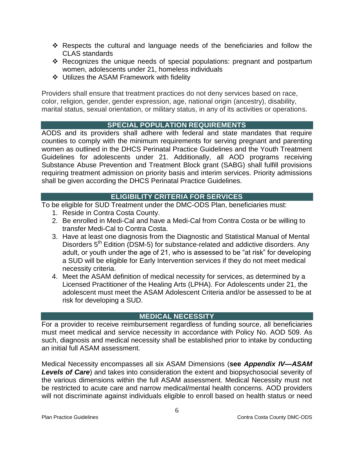- $\div$  Respects the cultural and language needs of the beneficiaries and follow the CLAS standards
- \* Recognizes the unique needs of special populations: pregnant and postpartum women, adolescents under 21, homeless individuals
- Utilizes the ASAM Framework with fidelity

Providers shall ensure that treatment practices do not deny services based on race, color, religion, gender, gender expression, age, national origin (ancestry), disability, marital status, sexual orientation, or military status, in any of its activities or operations.

# **SPECIAL POPULATION REQUIREMENTS**

<span id="page-6-0"></span>AODS and its providers shall adhere with federal and state mandates that require counties to comply with the minimum requirements for serving pregnant and parenting women as outlined in the DHCS Perinatal Practice Guidelines and the Youth Treatment Guidelines for adolescents under 21. Additionally, all AOD programs receiving Substance Abuse Prevention and Treatment Block grant (SABG) shall fulfill provisions requiring treatment admission on priority basis and interim services. Priority admissions shall be given according the DHCS Perinatal Practice Guidelines.

# **ELIGIBILITY CRITERIA FOR SERVICES**

<span id="page-6-1"></span>To be eligible for SUD Treatment under the DMC-ODS Plan, beneficiaries must:

- 1. Reside in Contra Costa County.
- 2. Be enrolled in Medi-Cal and have a Medi-Cal from Contra Costa or be willing to transfer Medi-Cal to Contra Costa.
- 3. Have at least one diagnosis from the Diagnostic and Statistical Manual of Mental Disorders 5<sup>th</sup> Edition (DSM-5) for substance-related and addictive disorders. Any adult, or youth under the age of 21, who is assessed to be "at risk" for developing a SUD will be eligible for Early Intervention services if they do not meet medical necessity criteria.
- 4. Meet the ASAM definition of medical necessity for services, as determined by a Licensed Practitioner of the Healing Arts (LPHA). For Adolescents under 21, the adolescent must meet the ASAM Adolescent Criteria and/or be assessed to be at risk for developing a SUD.

# **MEDICAL NECESSITY**

<span id="page-6-2"></span>For a provider to receive reimbursement regardless of funding source, all beneficiaries must meet medical and service necessity in accordance with Policy No. AOD 509. As such, diagnosis and medical necessity shall be established prior to intake by conducting an initial full ASAM assessment.

Medical Necessity encompasses all six ASAM Dimensions (**see** *Appendix IV—ASAM Levels of Care*) and takes into consideration the extent and biopsychosocial severity of the various dimensions within the full ASAM assessment. Medical Necessity must not be restricted to acute care and narrow medical/mental health concerns. AOD providers will not discriminate against individuals eligible to enroll based on health status or need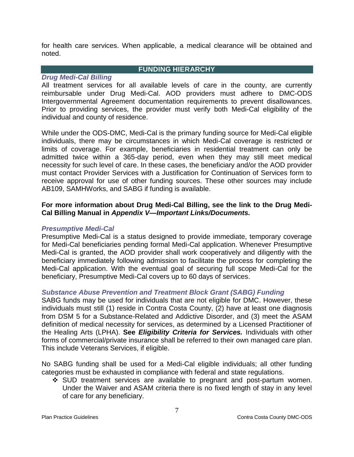for health care services. When applicable, a medical clearance will be obtained and noted.

# <span id="page-7-1"></span><span id="page-7-0"></span>*Drug Medi-Cal Billing*

#### **FUNDING HIERARCHY**

All treatment services for all available levels of care in the county, are currently reimbursable under Drug Medi-Cal. AOD providers must adhere to DMC-ODS Intergovernmental Agreement documentation requirements to prevent disallowances. Prior to providing services, the provider must verify both Medi-Cal eligibility of the individual and county of residence.

While under the ODS-DMC, Medi-Cal is the primary funding source for Medi-Cal eligible individuals, there may be circumstances in which Medi-Cal coverage is restricted or limits of coverage. For example, beneficiaries in residential treatment can only be admitted twice within a 365-day period, even when they may still meet medical necessity for such level of care. In these cases, the beneficiary and/or the AOD provider must contact Provider Services with a Justification for Continuation of Services form to receive approval for use of other funding sources. These other sources may include AB109, SAMHWorks, and SABG if funding is available.

# **For more information about Drug Medi-Cal Billing, see the link to the Drug Medi-Cal Billing Manual in** *Appendix V—Important Links/Documents.*

## <span id="page-7-2"></span>*Presumptive Medi-Cal*

Presumptive Medi-Cal is a status designed to provide immediate, temporary coverage for Medi-Cal beneficiaries pending formal Medi-Cal application. Whenever Presumptive Medi-Cal is granted, the AOD provider shall work cooperatively and diligently with the beneficiary immediately following admission to facilitate the process for completing the Medi-Cal application. With the eventual goal of securing full scope Medi-Cal for the beneficiary, Presumptive Medi-Cal covers up to 60 days of services.

# <span id="page-7-3"></span>*Substance Abuse Prevention and Treatment Block Grant (SABG) Funding*

SABG funds may be used for individuals that are not eligible for DMC. However, these individuals must still (1) reside in Contra Costa County, (2) have at least one diagnosis from DSM 5 for a Substance-Related and Addictive Disorder, and (3) meet the ASAM definition of medical necessity for services, as determined by a Licensed Practitioner of the Healing Arts (LPHA). **See** *Eligibility Criteria for Services.* Individuals with other forms of commercial/private insurance shall be referred to their own managed care plan. This include Veterans Services, if eligible.

No SABG funding shall be used for a Medi-Cal eligible individuals; all other funding categories must be exhausted in compliance with federal and state regulations.

 SUD treatment services are available to pregnant and post-partum women. Under the Waiver and ASAM criteria there is no fixed length of stay in any level of care for any beneficiary.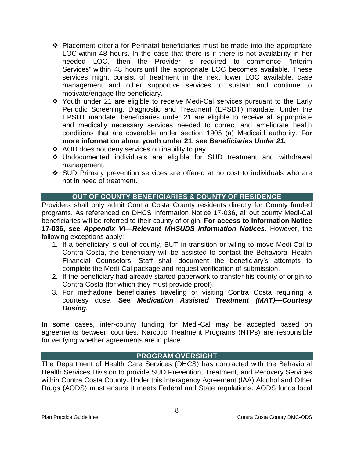- $\div$  Placement criteria for Perinatal beneficiaries must be made into the appropriate LOC within 48 hours. In the case that there is if there is not availability in her needed LOC, then the Provider is required to commence "Interim Services" within 48 hours until the appropriate LOC becomes available. These services might consist of treatment in the next lower LOC available, case management and other supportive services to sustain and continue to motivate/engage the beneficiary.
- Youth under 21 are eligible to receive Medi-Cal services pursuant to the Early Periodic Screening, Diagnostic and Treatment (EPSDT) mandate. Under the EPSDT mandate, beneficiaries under 21 are eligible to receive all appropriate and medically necessary services needed to correct and ameliorate health conditions that are coverable under section 1905 (a) Medicaid authority. **For more information about youth under 21, see** *Beneficiaries Under 21.*
- ❖ AOD does not deny services on inability to pay.
- Undocumented individuals are eligible for SUD treatment and withdrawal management.
- SUD Primary prevention services are offered at no cost to individuals who are not in need of treatment.

# **OUT OF COUNTY BENEFICIARIES & COUNTY OF RESIDENCE**

<span id="page-8-0"></span>Providers shall only admit Contra Costa County residents directly for County funded programs. As referenced on DHCS Information Notice 17-036, all out county Medi-Cal beneficiaries will be referred to their county of origin. **For access to Information Notice 17-036, see** *Appendix VI—Relevant MHSUDS Information Notices***.** However, the following exceptions apply:

- 1. If a beneficiary is out of county, BUT in transition or wiling to move Medi-Cal to Contra Costa, the beneficiary will be assisted to contact the Behavioral Health Financial Counselors. Staff shall document the beneficiary's attempts to complete the Medi-Cal package and request verification of submission.
- 2. If the beneficiary had already started paperwork to transfer his county of origin to Contra Costa (for which they must provide proof).
- 3. For methadone beneficiaries traveling or visiting Contra Costa requiring a courtesy dose. **See** *Medication Assisted Treatment (MAT)—Courtesy Dosing.*

In some cases, inter-county funding for Medi-Cal may be accepted based on agreements between counties. Narcotic Treatment Programs (NTPs) are responsible for verifying whether agreements are in place.

# **PROGRAM OVERSIGHT**

<span id="page-8-1"></span>The Department of Health Care Services (DHCS) has contracted with the Behavioral Health Services Division to provide SUD Prevention, Treatment, and Recovery Services within Contra Costa County. Under this Interagency Agreement (IAA) Alcohol and Other Drugs (AODS) must ensure it meets Federal and State regulations. AODS funds local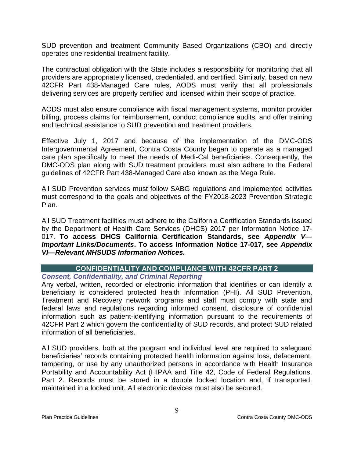SUD prevention and treatment Community Based Organizations (CBO) and directly operates one residential treatment facility.

The contractual obligation with the State includes a responsibility for monitoring that all providers are appropriately licensed, credentialed, and certified. Similarly, based on new 42CFR Part 438-Managed Care rules, AODS must verify that all professionals delivering services are properly certified and licensed within their scope of practice.

AODS must also ensure compliance with fiscal management systems, monitor provider billing, process claims for reimbursement, conduct compliance audits, and offer training and technical assistance to SUD prevention and treatment providers.

Effective July 1, 2017 and because of the implementation of the DMC-ODS Intergovernmental Agreement, Contra Costa County began to operate as a managed care plan specifically to meet the needs of Medi-Cal beneficiaries. Consequently, the DMC-ODS plan along with SUD treatment providers must also adhere to the Federal guidelines of 42CFR Part 438-Managed Care also known as the Mega Rule.

All SUD Prevention services must follow SABG regulations and implemented activities must correspond to the goals and objectives of the FY2018-2023 Prevention Strategic Plan.

All SUD Treatment facilities must adhere to the California Certification Standards issued by the Department of Health Care Services (DHCS) 2017 per Information Notice 17- 017. **To access DHCS California Certification Standards, see** *Appendix V— Important Links/Documents***. To access Information Notice 17-017, see** *Appendix VI—Relevant MHSUDS Information Notices.*

# **CONFIDENTIALITY AND COMPLIANCE WITH 42CFR PART 2**

# <span id="page-9-1"></span><span id="page-9-0"></span>*Consent, Confidentiality, and Criminal Reporting*

Any verbal, written, recorded or electronic information that identifies or can identify a beneficiary is considered protected health Information (PHI). All SUD Prevention, Treatment and Recovery network programs and staff must comply with state and federal laws and regulations regarding informed consent, disclosure of confidential information such as patient-identifying information pursuant to the requirements of 42CFR Part 2 which govern the confidentiality of SUD records, and protect SUD related information of all beneficiaries.

All SUD providers, both at the program and individual level are required to safeguard beneficiaries' records containing protected health information against loss, defacement, tampering, or use by any unauthorized persons in accordance with Health Insurance Portability and Accountability Act (HIPAA and Title 42, Code of Federal Regulations, Part 2. Records must be stored in a double locked location and, if transported, maintained in a locked unit. All electronic devices must also be secured.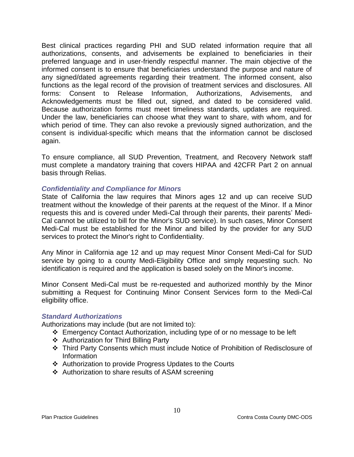Best clinical practices regarding PHI and SUD related information require that all authorizations, consents, and advisements be explained to beneficiaries in their preferred language and in user-friendly respectful manner. The main objective of the informed consent is to ensure that beneficiaries understand the purpose and nature of any signed/dated agreements regarding their treatment. The informed consent, also functions as the legal record of the provision of treatment services and disclosures. All forms: Consent to Release Information, Authorizations, Advisements, and Acknowledgements must be filled out, signed, and dated to be considered valid. Because authorization forms must meet timeliness standards, updates are required. Under the law, beneficiaries can choose what they want to share, with whom, and for which period of time. They can also revoke a previously signed authorization, and the consent is individual-specific which means that the information cannot be disclosed again.

To ensure compliance, all SUD Prevention, Treatment, and Recovery Network staff must complete a mandatory training that covers HIPAA and 42CFR Part 2 on annual basis through Relias.

#### *Confidentiality and Compliance for Minors*

State of California the law requires that Minors ages 12 and up can receive SUD treatment without the knowledge of their parents at the request of the Minor. If a Minor requests this and is covered under Medi-Cal through their parents, their parents' Medi-Cal cannot be utilized to bill for the Minor's SUD service). In such cases, Minor Consent Medi-Cal must be established for the Minor and billed by the provider for any SUD services to protect the Minor's right to Confidentiality.

Any Minor in California age 12 and up may request Minor Consent Medi-Cal for SUD service by going to a county Medi-Eligibility Office and simply requesting such. No identification is required and the application is based solely on the Minor's income.

Minor Consent Medi-Cal must be re-requested and authorized monthly by the Minor submitting a Request for Continuing Minor Consent Services form to the Medi-Cal eligibility office.

#### <span id="page-10-0"></span>*Standard Authorizations*

Authorizations may include (but are not limited to):

- Emergency Contact Authorization, including type of or no message to be left
- ❖ Authorization for Third Billing Party
- Third Party Consents which must include Notice of Prohibition of Redisclosure of Information
- ❖ Authorization to provide Progress Updates to the Courts
- Authorization to share results of ASAM screening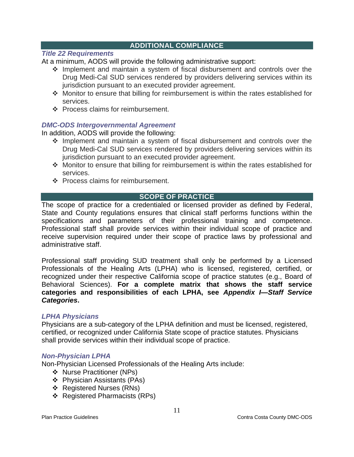## **ADDITIONAL COMPLIANCE**

#### <span id="page-11-1"></span><span id="page-11-0"></span>*Title 22 Requirements*

At a minimum, AODS will provide the following administrative support:

- \* Implement and maintain a system of fiscal disbursement and controls over the Drug Medi-Cal SUD services rendered by providers delivering services within its jurisdiction pursuant to an executed provider agreement.
- Monitor to ensure that billing for reimbursement is within the rates established for services.
- ❖ Process claims for reimbursement.

## <span id="page-11-2"></span>*DMC-ODS Intergovernmental Agreement*

In addition, AODS will provide the following:

- \* Implement and maintain a system of fiscal disbursement and controls over the Drug Medi-Cal SUD services rendered by providers delivering services within its jurisdiction pursuant to an executed provider agreement.
- Monitor to ensure that billing for reimbursement is within the rates established for services.
- ❖ Process claims for reimbursement.

#### **SCOPE OF PRACTICE**

<span id="page-11-3"></span>The scope of practice for a credentialed or licensed provider as defined by Federal, State and County regulations ensures that clinical staff performs functions within the specifications and parameters of their professional training and competence. Professional staff shall provide services within their individual scope of practice and receive supervision required under their scope of practice laws by professional and administrative staff.

Professional staff providing SUD treatment shall only be performed by a Licensed Professionals of the Healing Arts (LPHA) who is licensed, registered, certified, or recognized under their respective California scope of practice statutes (e.g., Board of Behavioral Sciences). **For a complete matrix that shows the staff service categories and responsibilities of each LPHA, see** *Appendix I—Staff Service Categories***.**

#### <span id="page-11-4"></span>*LPHA Physicians*

Physicians are a sub-category of the LPHA definition and must be licensed, registered, certified, or recognized under California State scope of practice statutes. Physicians shall provide services within their individual scope of practice.

#### <span id="page-11-5"></span>*Non-Physician LPHA*

Non-Physician Licensed Professionals of the Healing Arts include:

- ❖ Nurse Practitioner (NPs)
- ❖ Physician Assistants (PAs)
- ❖ Registered Nurses (RNs)
- ❖ Registered Pharmacists (RPs)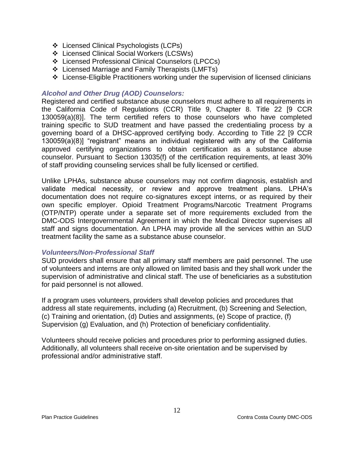- ❖ Licensed Clinical Psychologists (LCPs)
- Licensed Clinical Social Workers (LCSWs)
- Licensed Professional Clinical Counselors (LPCCs)
- Licensed Marriage and Family Therapists (LMFTs)
- License-Eligible Practitioners working under the supervision of licensed clinicians

## <span id="page-12-0"></span>*Alcohol and Other Drug (AOD) Counselors:*

Registered and certified substance abuse counselors must adhere to all requirements in the California Code of Regulations (CCR) Title 9, Chapter 8. Title 22 [9 CCR 130059(a)(8)]. The term certified refers to those counselors who have completed training specific to SUD treatment and have passed the credentialing process by a governing board of a DHSC-approved certifying body. According to Title 22 [9 CCR 130059(a)(8)] "registrant" means an individual registered with any of the California approved certifying organizations to obtain certification as a substance abuse counselor. Pursuant to Section 13035(f) of the certification requirements, at least 30% of staff providing counseling services shall be fully licensed or certified.

Unlike LPHAs, substance abuse counselors may not confirm diagnosis, establish and validate medical necessity, or review and approve treatment plans. LPHA's documentation does not require co-signatures except interns, or as required by their own specific employer. Opioid Treatment Programs/Narcotic Treatment Programs (OTP/NTP) operate under a separate set of more requirements excluded from the DMC-ODS Intergovernmental Agreement in which the Medical Director supervises all staff and signs documentation. An LPHA may provide all the services within an SUD treatment facility the same as a substance abuse counselor.

#### <span id="page-12-1"></span>*Volunteers/Non-Professional Staff*

SUD providers shall ensure that all primary staff members are paid personnel. The use of volunteers and interns are only allowed on limited basis and they shall work under the supervision of administrative and clinical staff. The use of beneficiaries as a substitution for paid personnel is not allowed.

If a program uses volunteers, providers shall develop policies and procedures that address all state requirements, including (a) Recruitment, (b) Screening and Selection, (c) Training and orientation, (d) Duties and assignments, (e) Scope of practice, (f) Supervision (g) Evaluation, and (h) Protection of beneficiary confidentiality.

Volunteers should receive policies and procedures prior to performing assigned duties. Additionally, all volunteers shall receive on-site orientation and be supervised by professional and/or administrative staff.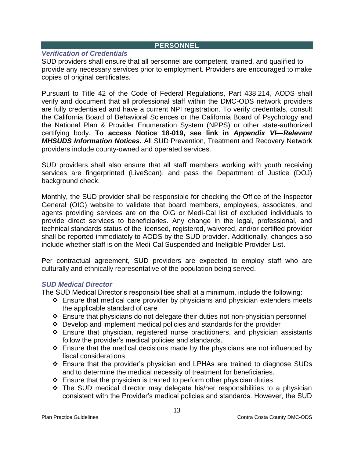#### **PERSONNEL**

## <span id="page-13-1"></span><span id="page-13-0"></span>*Verification of Credentials*

SUD providers shall ensure that all personnel are competent, trained, and qualified to provide any necessary services prior to employment. Providers are encouraged to make copies of original certificates.

Pursuant to Title 42 of the Code of Federal Regulations, Part 438.214, AODS shall verify and document that all professional staff within the DMC-ODS network providers are fully credentialed and have a current NPI registration. To verify credentials, consult the California Board of Behavioral Sciences or the California Board of Psychology and the National Plan & Provider Enumeration System (NPPS) or other state-authorized certifying body. **To access Notice 18-019, see link in** *Appendix VI—Relevant MHSUDS Information Notices.* All SUD Prevention, Treatment and Recovery Network providers include county-owned and operated services.

SUD providers shall also ensure that all staff members working with youth receiving services are fingerprinted (LiveScan), and pass the Department of Justice (DOJ) background check.

Monthly, the SUD provider shall be responsible for checking the Office of the Inspector General (OIG) website to validate that board members, employees, associates, and agents providing services are on the OIG or Medi-Cal list of excluded individuals to provide direct services to beneficiaries. Any change in the legal, professional, and technical standards status of the licensed, registered, waivered, and/or certified provider shall be reported immediately to AODS by the SUD provider. Additionally, changes also include whether staff is on the Medi-Cal Suspended and Ineligible Provider List.

Per contractual agreement, SUD providers are expected to employ staff who are culturally and ethnically representative of the population being served.

## <span id="page-13-2"></span>*SUD Medical Director*

The SUD Medical Director's responsibilities shall at a minimum, include the following:

- $\div$  Ensure that medical care provider by physicians and physician extenders meets the applicable standard of care
- \* Ensure that physicians do not delegate their duties not non-physician personnel
- $\div$  Develop and implement medical policies and standards for the provider
- Ensure that physician, registered nurse practitioners, and physician assistants follow the provider's medical policies and standards.
- $\cdot$  Ensure that the medical decisions made by the physicians are not influenced by fiscal considerations
- Ensure that the provider's physician and LPHAs are trained to diagnose SUDs and to determine the medical necessity of treatment for beneficiaries.
- $\div$  Ensure that the physician is trained to perform other physician duties
- $\div$  The SUD medical director may delegate his/her responsibilities to a physician consistent with the Provider's medical policies and standards. However, the SUD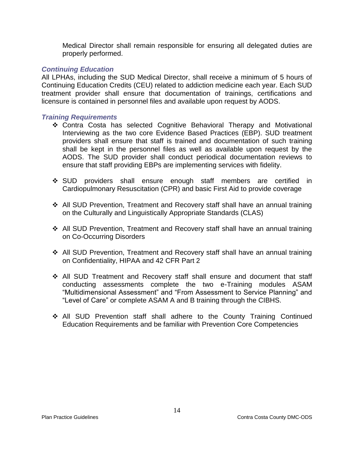Medical Director shall remain responsible for ensuring all delegated duties are properly performed.

## *Continuing Education*

All LPHAs, including the SUD Medical Director, shall receive a minimum of 5 hours of Continuing Education Credits (CEU) related to addiction medicine each year. Each SUD treatment provider shall ensure that documentation of trainings, certifications and licensure is contained in personnel files and available upon request by AODS.

#### *Training Requirements*

- Contra Costa has selected Cognitive Behavioral Therapy and Motivational Interviewing as the two core Evidence Based Practices (EBP). SUD treatment providers shall ensure that staff is trained and documentation of such training shall be kept in the personnel files as well as available upon request by the AODS. The SUD provider shall conduct periodical documentation reviews to ensure that staff providing EBPs are implementing services with fidelity.
- SUD providers shall ensure enough staff members are certified in Cardiopulmonary Resuscitation (CPR) and basic First Aid to provide coverage
- All SUD Prevention, Treatment and Recovery staff shall have an annual training on the Culturally and Linguistically Appropriate Standards (CLAS)
- All SUD Prevention, Treatment and Recovery staff shall have an annual training on Co-Occurring Disorders
- All SUD Prevention, Treatment and Recovery staff shall have an annual training on Confidentiality, HIPAA and 42 CFR Part 2
- All SUD Treatment and Recovery staff shall ensure and document that staff conducting assessments complete the two e-Training modules ASAM "Multidimensional Assessment" and "From Assessment to Service Planning" and "Level of Care" or complete ASAM A and B training through the CIBHS.
- All SUD Prevention staff shall adhere to the County Training Continued Education Requirements and be familiar with Prevention Core Competencies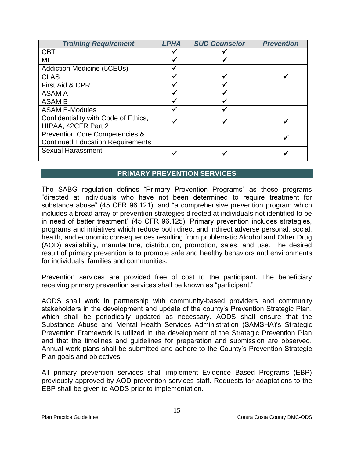| <b>Training Requirement</b>                                                          | <b>LPHA</b> | <b>SUD Counselor</b> | <b>Prevention</b> |
|--------------------------------------------------------------------------------------|-------------|----------------------|-------------------|
| <b>CBT</b>                                                                           |             |                      |                   |
| ΜI                                                                                   |             |                      |                   |
| <b>Addiction Medicine (5CEUs)</b>                                                    |             |                      |                   |
| <b>CLAS</b>                                                                          |             |                      |                   |
| First Aid & CPR                                                                      |             |                      |                   |
| <b>ASAM A</b>                                                                        |             |                      |                   |
| <b>ASAM B</b>                                                                        |             |                      |                   |
| <b>ASAM E-Modules</b>                                                                |             |                      |                   |
| Confidentiality with Code of Ethics,<br>HIPAA, 42CFR Part 2                          |             |                      |                   |
| <b>Prevention Core Competencies &amp;</b><br><b>Continued Education Requirements</b> |             |                      |                   |
| <b>Sexual Harassment</b>                                                             |             |                      |                   |

# **PRIMARY PREVENTION SERVICES**

<span id="page-15-0"></span>The SABG regulation defines "Primary Prevention Programs" as those programs "directed at individuals who have not been determined to require treatment for substance abuse" (45 CFR 96.121), and "a comprehensive prevention program which includes a broad array of prevention strategies directed at individuals not identified to be in need of better treatment" (45 CFR 96.125). Primary prevention includes strategies, programs and initiatives which reduce both direct and indirect adverse personal, social, health, and economic consequences resulting from problematic Alcohol and Other Drug (AOD) availability, manufacture, distribution, promotion, sales, and use. The desired result of primary prevention is to promote safe and healthy behaviors and environments for individuals, families and communities.

Prevention services are provided free of cost to the participant. The beneficiary receiving primary prevention services shall be known as "participant."

AODS shall work in partnership with community-based providers and community stakeholders in the development and update of the county's Prevention Strategic Plan, which shall be periodically updated as necessary. AODS shall ensure that the Substance Abuse and Mental Health Services Administration (SAMSHA)'s Strategic Prevention Framework is utilized in the development of the Strategic Prevention Plan and that the timelines and guidelines for preparation and submission are observed. Annual work plans shall be submitted and adhere to the County's Prevention Strategic Plan goals and objectives.

All primary prevention services shall implement Evidence Based Programs (EBP) previously approved by AOD prevention services staff. Requests for adaptations to the EBP shall be given to AODS prior to implementation.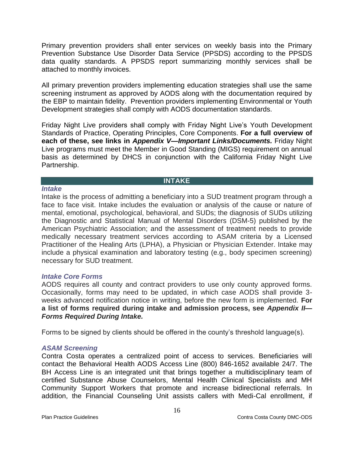Primary prevention providers shall enter services on weekly basis into the Primary Prevention Substance Use Disorder Data Service (PPSDS) according to the PPSDS data quality standards. A PPSDS report summarizing monthly services shall be attached to monthly invoices.

All primary prevention providers implementing education strategies shall use the same screening instrument as approved by AODS along with the documentation required by the EBP to maintain fidelity. Prevention providers implementing Environmental or Youth Development strategies shall comply with AODS documentation standards.

Friday Night Live providers shall comply with Friday Night Live's Youth Development Standards of Practice, Operating Principles, Core Components. **For a full overview of each of these, see links in** *Appendix V—Important Links/Documents.* Friday Night Live programs must meet the Member in Good Standing (MIGS) requirement on annual basis as determined by DHCS in conjunction with the California Friday Night Live Partnership.

#### **INTAKE**

#### <span id="page-16-1"></span><span id="page-16-0"></span>*Intake*

Intake is the process of admitting a beneficiary into a SUD treatment program through a face to face visit. Intake includes the evaluation or analysis of the cause or nature of mental, emotional, psychological, behavioral, and SUDs; the diagnosis of SUDs utilizing the Diagnostic and Statistical Manual of Mental Disorders (DSM-5) published by the American Psychiatric Association; and the assessment of treatment needs to provide medically necessary treatment services according to ASAM criteria by a Licensed Practitioner of the Healing Arts (LPHA), a Physician or Physician Extender. Intake may include a physical examination and laboratory testing (e.g., body specimen screening) necessary for SUD treatment.

## <span id="page-16-2"></span>*Intake Core Forms*

AODS requires all county and contract providers to use only county approved forms. Occasionally, forms may need to be updated, in which case AODS shall provide 3 weeks advanced notification notice in writing, before the new form is implemented. **For a list of forms required during intake and admission process, see** *Appendix II— Forms Required During Intake.*

Forms to be signed by clients should be offered in the county's threshold language(s).

## <span id="page-16-3"></span>*ASAM Screening*

Contra Costa operates a centralized point of access to services. Beneficiaries will contact the Behavioral Health AODS Access Line (800) 846-1652 available 24/7. The BH Access Line is an integrated unit that brings together a multidisciplinary team of certified Substance Abuse Counselors, Mental Health Clinical Specialists and MH Community Support Workers that promote and increase bidirectional referrals. In addition, the Financial Counseling Unit assists callers with Medi-Cal enrollment, if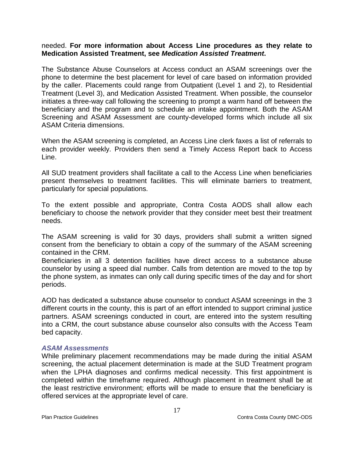#### needed. **For more information about Access Line procedures as they relate to Medication Assisted Treatment, see** *Medication Assisted Treatment***.**

The Substance Abuse Counselors at Access conduct an ASAM screenings over the phone to determine the best placement for level of care based on information provided by the caller. Placements could range from Outpatient (Level 1 and 2), to Residential Treatment (Level 3), and Medication Assisted Treatment. When possible, the counselor initiates a three-way call following the screening to prompt a warm hand off between the beneficiary and the program and to schedule an intake appointment. Both the ASAM Screening and ASAM Assessment are county-developed forms which include all six ASAM Criteria dimensions.

When the ASAM screening is completed, an Access Line clerk faxes a list of referrals to each provider weekly. Providers then send a Timely Access Report back to Access Line.

All SUD treatment providers shall facilitate a call to the Access Line when beneficiaries present themselves to treatment facilities. This will eliminate barriers to treatment, particularly for special populations.

To the extent possible and appropriate, Contra Costa AODS shall allow each beneficiary to choose the network provider that they consider meet best their treatment needs.

The ASAM screening is valid for 30 days, providers shall submit a written signed consent from the beneficiary to obtain a copy of the summary of the ASAM screening contained in the CRM.

Beneficiaries in all 3 detention facilities have direct access to a substance abuse counselor by using a speed dial number. Calls from detention are moved to the top by the phone system, as inmates can only call during specific times of the day and for short periods.

AOD has dedicated a substance abuse counselor to conduct ASAM screenings in the 3 different courts in the county, this is part of an effort intended to support criminal justice partners. ASAM screenings conducted in court, are entered into the system resulting into a CRM, the court substance abuse counselor also consults with the Access Team bed capacity.

#### <span id="page-17-0"></span>*ASAM Assessments*

While preliminary placement recommendations may be made during the initial ASAM screening, the actual placement determination is made at the SUD Treatment program when the LPHA diagnoses and confirms medical necessity. This first appointment is completed within the timeframe required. Although placement in treatment shall be at the least restrictive environment; efforts will be made to ensure that the beneficiary is offered services at the appropriate level of care.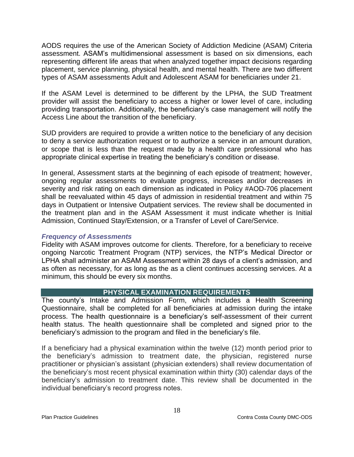AODS requires the use of the American Society of Addiction Medicine (ASAM) Criteria assessment. ASAM's multidimensional assessment is based on six dimensions, each representing different life areas that when analyzed together impact decisions regarding placement, service planning, physical health, and mental health. There are two different types of ASAM assessments Adult and Adolescent ASAM for beneficiaries under 21.

If the ASAM Level is determined to be different by the LPHA, the SUD Treatment provider will assist the beneficiary to access a higher or lower level of care, including providing transportation. Additionally, the beneficiary's case management will notify the Access Line about the transition of the beneficiary.

SUD providers are required to provide a written notice to the beneficiary of any decision to deny a service authorization request or to authorize a service in an amount duration, or scope that is less than the request made by a health care professional who has appropriate clinical expertise in treating the beneficiary's condition or disease.

In general, Assessment starts at the beginning of each episode of treatment; however, ongoing regular assessments to evaluate progress, increases and/or decreases in severity and risk rating on each dimension as indicated in Policy #AOD-706 placement shall be reevaluated within 45 days of admission in residential treatment and within 75 days in Outpatient or Intensive Outpatient services. The review shall be documented in the treatment plan and in the ASAM Assessment it must indicate whether is Initial Admission, Continued Stay/Extension, or a Transfer of Level of Care/Service.

## <span id="page-18-0"></span>*Frequency of Assessments*

Fidelity with ASAM improves outcome for clients. Therefore, for a beneficiary to receive ongoing Narcotic Treatment Program (NTP) services, the NTP's Medical Director or LPHA shall administer an ASAM Assessment within 28 days of a client's admission, and as often as necessary, for as long as the as a client continues accessing services. At a minimum, this should be every six months.

# **PHYSICAL EXAMINATION REQUIREMENTS**

<span id="page-18-1"></span>The county's Intake and Admission Form, which includes a Health Screening Questionnaire, shall be completed for all beneficiaries at admission during the intake process. The health questionnaire is a beneficiary's self-assessment of their current health status. The health questionnaire shall be completed and signed prior to the beneficiary's admission to the program and filed in the beneficiary's file.

If a beneficiary had a physical examination within the twelve (12) month period prior to the beneficiary's admission to treatment date, the physician, registered nurse practitioner or physician's assistant (physician extenders) shall review documentation of the beneficiary's most recent physical examination within thirty (30) calendar days of the beneficiary's admission to treatment date. This review shall be documented in the individual beneficiary's record progress notes.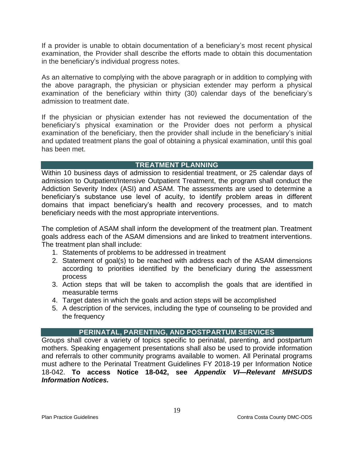If a provider is unable to obtain documentation of a beneficiary's most recent physical examination, the Provider shall describe the efforts made to obtain this documentation in the beneficiary's individual progress notes.

As an alternative to complying with the above paragraph or in addition to complying with the above paragraph, the physician or physician extender may perform a physical examination of the beneficiary within thirty (30) calendar days of the beneficiary's admission to treatment date.

If the physician or physician extender has not reviewed the documentation of the beneficiary's physical examination or the Provider does not perform a physical examination of the beneficiary, then the provider shall include in the beneficiary's initial and updated treatment plans the goal of obtaining a physical examination, until this goal has been met.

# **TREATMENT PLANNING**

<span id="page-19-0"></span>Within 10 business days of admission to residential treatment, or 25 calendar days of admission to Outpatient/Intensive Outpatient Treatment, the program shall conduct the Addiction Severity Index (ASI) and ASAM. The assessments are used to determine a beneficiary's substance use level of acuity, to identify problem areas in different domains that impact beneficiary's health and recovery processes, and to match beneficiary needs with the most appropriate interventions.

The completion of ASAM shall inform the development of the treatment plan. Treatment goals address each of the ASAM dimensions and are linked to treatment interventions. The treatment plan shall include:

- 1. Statements of problems to be addressed in treatment
- 2. Statement of goal(s) to be reached with address each of the ASAM dimensions according to priorities identified by the beneficiary during the assessment process
- 3. Action steps that will be taken to accomplish the goals that are identified in measurable terms
- 4. Target dates in which the goals and action steps will be accomplished
- 5. A description of the services, including the type of counseling to be provided and the frequency

## **PERINATAL, PARENTING, AND POSTPARTUM SERVICES**

<span id="page-19-1"></span>Groups shall cover a variety of topics specific to perinatal, parenting, and postpartum mothers. Speaking engagement presentations shall also be used to provide information and referrals to other community programs available to women. All Perinatal programs must adhere to the Perinatal Treatment Guidelines FY 2018-19 per Information Notice 18-042. **To access Notice 18-042, see** *Appendix VI—Relevant MHSUDS Information Notices.*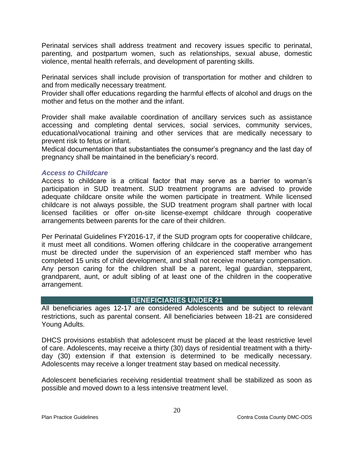Perinatal services shall address treatment and recovery issues specific to perinatal, parenting, and postpartum women, such as relationships, sexual abuse, domestic violence, mental health referrals, and development of parenting skills.

Perinatal services shall include provision of transportation for mother and children to and from medically necessary treatment.

Provider shall offer educations regarding the harmful effects of alcohol and drugs on the mother and fetus on the mother and the infant.

Provider shall make available coordination of ancillary services such as assistance accessing and completing dental services, social services, community services, educational/vocational training and other services that are medically necessary to prevent risk to fetus or infant.

Medical documentation that substantiates the consumer's pregnancy and the last day of pregnancy shall be maintained in the beneficiary's record.

#### <span id="page-20-0"></span>*Access to Childcare*

Access to childcare is a critical factor that may serve as a barrier to woman's participation in SUD treatment. SUD treatment programs are advised to provide adequate childcare onsite while the women participate in treatment. While licensed childcare is not always possible, the SUD treatment program shall partner with local licensed facilities or offer on-site license-exempt childcare through cooperative arrangements between parents for the care of their children.

Per Perinatal Guidelines FY2016-17, if the SUD program opts for cooperative childcare, it must meet all conditions. Women offering childcare in the cooperative arrangement must be directed under the supervision of an experienced staff member who has completed 15 units of child development, and shall not receive monetary compensation. Any person caring for the children shall be a parent, legal guardian, stepparent, grandparent, aunt, or adult sibling of at least one of the children in the cooperative arrangement.

#### **BENEFICIARIES UNDER 21**

<span id="page-20-1"></span>All beneficiaries ages 12-17 are considered Adolescents and be subject to relevant restrictions, such as parental consent. All beneficiaries between 18-21 are considered Young Adults.

DHCS provisions establish that adolescent must be placed at the least restrictive level of care. Adolescents, may receive a thirty (30) days of residential treatment with a thirtyday (30) extension if that extension is determined to be medically necessary. Adolescents may receive a longer treatment stay based on medical necessity.

Adolescent beneficiaries receiving residential treatment shall be stabilized as soon as possible and moved down to a less intensive treatment level.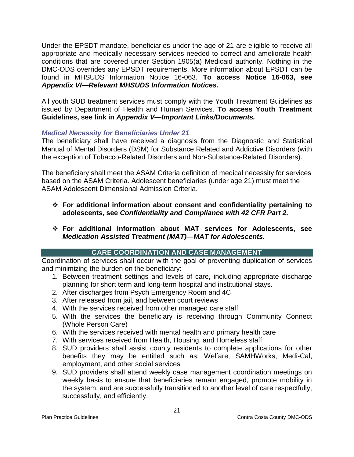Under the EPSDT mandate, beneficiaries under the age of 21 are eligible to receive all appropriate and medically necessary services needed to correct and ameliorate health conditions that are covered under Section 1905(a) Medicaid authority. Nothing in the DMC-ODS overrides any EPSDT requirements. More information about EPSDT can be found in MHSUDS Information Notice 16-063. **To access Notice 16-063, see**  *Appendix VI—Relevant MHSUDS Information Notices.*

All youth SUD treatment services must comply with the Youth Treatment Guidelines as issued by Department of Health and Human Services. **To access Youth Treatment Guidelines, see link in** *Appendix V—Important Links/Documents.*

# *Medical Necessity for Beneficiaries Under 21*

The beneficiary shall have received a diagnosis from the Diagnostic and Statistical Manual of Mental Disorders (DSM) for Substance Related and Addictive Disorders (with the exception of Tobacco-Related Disorders and Non-Substance-Related Disorders).

The beneficiary shall meet the ASAM Criteria definition of medical necessity for services based on the ASAM Criteria. Adolescent beneficiaries (under age 21) must meet the ASAM Adolescent Dimensional Admission Criteria.

- **For additional information about consent and confidentiality pertaining to adolescents, see** *Confidentiality and Compliance with 42 CFR Part 2.*
- **For additional information about MAT services for Adolescents, see**  *Medication Assisted Treatment (MAT)—MAT for Adolescents.*

# **CARE COORDINATION AND CASE MANAGEMENT**

<span id="page-21-0"></span>Coordination of services shall occur with the goal of preventing duplication of services and minimizing the burden on the beneficiary:

- 1. Between treatment settings and levels of care, including appropriate discharge planning for short term and long-term hospital and institutional stays.
- 2. After discharges from Psych Emergency Room and 4C
- 3. After released from jail, and between court reviews
- 4. With the services received from other managed care staff
- 5. With the services the beneficiary is receiving through Community Connect (Whole Person Care)
- 6. With the services received with mental health and primary health care
- 7. With services received from Health, Housing, and Homeless staff
- 8. SUD providers shall assist county residents to complete applications for other benefits they may be entitled such as: Welfare, SAMHWorks, Medi-Cal, employment, and other social services
- 9. SUD providers shall attend weekly case management coordination meetings on weekly basis to ensure that beneficiaries remain engaged, promote mobility in the system, and are successfully transitioned to another level of care respectfully, successfully, and efficiently.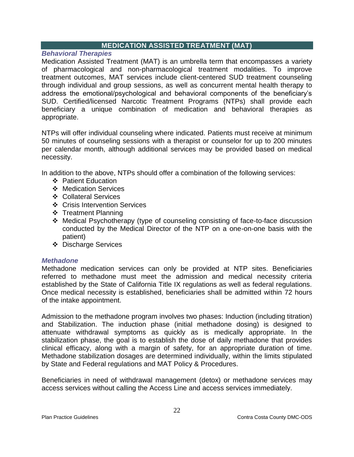# **MEDICATION ASSISTED TREATMENT (MAT)**

<span id="page-22-1"></span><span id="page-22-0"></span>*Behavioral Therapies*

Medication Assisted Treatment (MAT) is an umbrella term that encompasses a variety of pharmacological and non-pharmacological treatment modalities. To improve treatment outcomes, MAT services include client-centered SUD treatment counseling through individual and group sessions, as well as concurrent mental health therapy to address the emotional/psychological and behavioral components of the beneficiary's SUD. Certified/licensed Narcotic Treatment Programs (NTPs) shall provide each beneficiary a unique combination of medication and behavioral therapies as appropriate.

NTPs will offer individual counseling where indicated. Patients must receive at minimum 50 minutes of counseling sessions with a therapist or counselor for up to 200 minutes per calendar month, although additional services may be provided based on medical necessity.

In addition to the above, NTPs should offer a combination of the following services:

- Patient Education
- Medication Services
- Collateral Services
- **❖** Crisis Intervention Services
- ❖ Treatment Planning
- Medical Psychotherapy (type of counseling consisting of face-to-face discussion conducted by the Medical Director of the NTP on a one-on-one basis with the patient)
- Discharge Services

## <span id="page-22-2"></span>*Methadone*

Methadone medication services can only be provided at NTP sites. Beneficiaries referred to methadone must meet the admission and medical necessity criteria established by the State of California Title IX regulations as well as federal regulations. Once medical necessity is established, beneficiaries shall be admitted within 72 hours of the intake appointment.

Admission to the methadone program involves two phases: Induction (including titration) and Stabilization. The induction phase (initial methadone dosing) is designed to attenuate withdrawal symptoms as quickly as is medically appropriate. In the stabilization phase, the goal is to establish the dose of daily methadone that provides clinical efficacy, along with a margin of safety, for an appropriate duration of time. Methadone stabilization dosages are determined individually, within the limits stipulated by State and Federal regulations and MAT Policy & Procedures.

Beneficiaries in need of withdrawal management (detox) or methadone services may access services without calling the Access Line and access services immediately.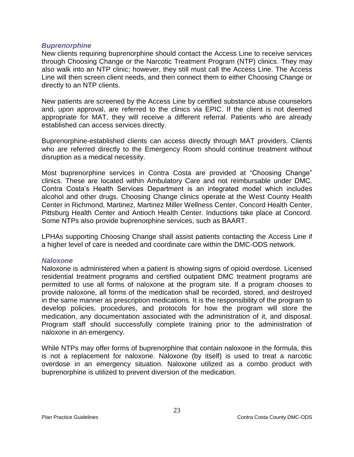#### <span id="page-23-0"></span>*Buprenorphine*

New clients requiring buprenorphine should contact the Access Line to receive services through Choosing Change or the Narcotic Treatment Program (NTP) clinics. They may also walk into an NTP clinic; however, they still must call the Access Line. The Access Line will then screen client needs, and then connect them to either Choosing Change or directly to an NTP clients.

New patients are screened by the Access Line by certified substance abuse counselors and, upon approval, are referred to the clinics via EPIC. If the client is not deemed appropriate for MAT, they will receive a different referral. Patients who are already established can access services directly.

Buprenorphine-established clients can access directly through MAT providers. Clients who are referred directly to the Emergency Room should continue treatment without disruption as a medical necessity.

Most buprenorphine services in Contra Costa are provided at "Choosing Change" clinics. These are located within Ambulatory Care and not reimbursable under DMC. Contra Costa's Health Services Department is an integrated model which includes alcohol and other drugs. Choosing Change clinics operate at the West County Health Center in Richmond, Martinez, Martinez Miller Wellness Center, Concord Health Center, Pittsburg Health Center and Antioch Health Center. Inductions take place at Concord. Some NTPs also provide buprenorphine services, such as BAART.

LPHAs supporting Choosing Change shall assist patients contacting the Access Line if a higher level of care is needed and coordinate care within the DMC-ODS network.

#### <span id="page-23-1"></span>*Naloxone*

Naloxone is administered when a patient is showing signs of opioid overdose. Licensed residential treatment programs and certified outpatient DMC treatment programs are permitted to use all forms of naloxone at the program site. If a program chooses to provide naloxone, all forms of the medication shall be recorded, stored, and destroyed in the same manner as prescription medications. It is the responsibility of the program to develop policies, procedures, and protocols for how the program will store the medication, any documentation associated with the administration of it, and disposal. Program staff should successfully complete training prior to the administration of naloxone in an emergency.

While NTPs may offer forms of buprenorphine that contain naloxone in the formula, this is not a replacement for naloxone. Naloxone (by itself) is used to treat a narcotic overdose in an emergency situation. Naloxone utilized as a combo product with buprenorphine is utilized to prevent diversion of the medication.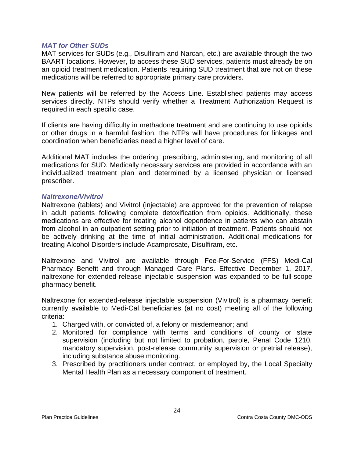#### <span id="page-24-0"></span>*MAT for Other SUDs*

MAT services for SUDs (e.g., Disulfiram and Narcan, etc.) are available through the two BAART locations. However, to access these SUD services, patients must already be on an opioid treatment medication. Patients requiring SUD treatment that are not on these medications will be referred to appropriate primary care providers.

New patients will be referred by the Access Line. Established patients may access services directly. NTPs should verify whether a Treatment Authorization Request is required in each specific case.

If clients are having difficulty in methadone treatment and are continuing to use opioids or other drugs in a harmful fashion, the NTPs will have procedures for linkages and coordination when beneficiaries need a higher level of care.

Additional MAT includes the ordering, prescribing, administering, and monitoring of all medications for SUD. Medically necessary services are provided in accordance with an individualized treatment plan and determined by a licensed physician or licensed prescriber.

#### <span id="page-24-1"></span>*Naltrexone/Vivitrol*

Naltrexone (tablets) and Vivitrol (injectable) are approved for the prevention of relapse in adult patients following complete detoxification from opioids. Additionally, these medications are effective for treating alcohol dependence in patients who can abstain from alcohol in an outpatient setting prior to initiation of treatment. Patients should not be actively drinking at the time of initial administration. Additional medications for treating Alcohol Disorders include Acamprosate, Disulfiram, etc.

Naltrexone and Vivitrol are available through Fee-For-Service (FFS) Medi-Cal Pharmacy Benefit and through Managed Care Plans. Effective December 1, 2017, naltrexone for extended-release injectable suspension was expanded to be full-scope pharmacy benefit.

Naltrexone for extended-release injectable suspension (Vivitrol) is a pharmacy benefit currently available to Medi-Cal beneficiaries (at no cost) meeting all of the following criteria:

- 1. Charged with, or convicted of, a felony or misdemeanor; and
- 2. Monitored for compliance with terms and conditions of county or state supervision (including but not limited to probation, parole, Penal Code 1210, mandatory supervision, post-release community supervision or pretrial release), including substance abuse monitoring.
- 3. Prescribed by practitioners under contract, or employed by, the Local Specialty Mental Health Plan as a necessary component of treatment.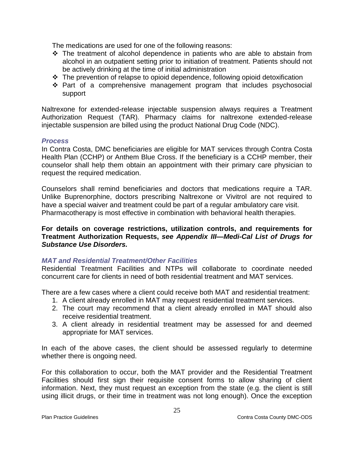The medications are used for one of the following reasons:

- The treatment of alcohol dependence in patients who are able to abstain from alcohol in an outpatient setting prior to initiation of treatment. Patients should not be actively drinking at the time of initial administration
- $\cdot$  The prevention of relapse to opioid dependence, following opioid detoxification
- \* Part of a comprehensive management program that includes psychosocial support

Naltrexone for extended-release injectable suspension always requires a Treatment Authorization Request (TAR). Pharmacy claims for naltrexone extended-release injectable suspension are billed using the product National Drug Code (NDC).

#### *Process*

In Contra Costa, DMC beneficiaries are eligible for MAT services through Contra Costa Health Plan (CCHP) or Anthem Blue Cross. If the beneficiary is a CCHP member, their counselor shall help them obtain an appointment with their primary care physician to request the required medication.

Counselors shall remind beneficiaries and doctors that medications require a TAR. Unlike Buprenorphine, doctors prescribing Naltrexone or Vivitrol are not required to have a special waiver and treatment could be part of a regular ambulatory care visit. Pharmacotherapy is most effective in combination with behavioral health therapies.

**For details on coverage restrictions, utilization controls, and requirements for Treatment Authorization Requests,** *see Appendix III—Medi-Cal List of Drugs for Substance Use Disorders.*

## <span id="page-25-0"></span>*MAT and Residential Treatment/Other Facilities*

Residential Treatment Facilities and NTPs will collaborate to coordinate needed concurrent care for clients in need of both residential treatment and MAT services.

There are a few cases where a client could receive both MAT and residential treatment:

- 1. A client already enrolled in MAT may request residential treatment services.
- 2. The court may recommend that a client already enrolled in MAT should also receive residential treatment.
- 3. A client already in residential treatment may be assessed for and deemed appropriate for MAT services.

In each of the above cases, the client should be assessed regularly to determine whether there is ongoing need.

For this collaboration to occur, both the MAT provider and the Residential Treatment Facilities should first sign their requisite consent forms to allow sharing of client information. Next, they must request an exception from the state (e.g. the client is still using illicit drugs, or their time in treatment was not long enough). Once the exception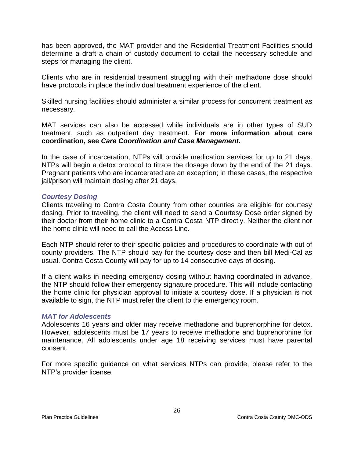has been approved, the MAT provider and the Residential Treatment Facilities should determine a draft a chain of custody document to detail the necessary schedule and steps for managing the client.

Clients who are in residential treatment struggling with their methadone dose should have protocols in place the individual treatment experience of the client.

Skilled nursing facilities should administer a similar process for concurrent treatment as necessary.

MAT services can also be accessed while individuals are in other types of SUD treatment, such as outpatient day treatment. **For more information about care coordination, see** *Care Coordination and Case Management.*

In the case of incarceration, NTPs will provide medication services for up to 21 days. NTPs will begin a detox protocol to titrate the dosage down by the end of the 21 days. Pregnant patients who are incarcerated are an exception; in these cases, the respective jail/prison will maintain dosing after 21 days.

#### <span id="page-26-0"></span>*Courtesy Dosing*

Clients traveling to Contra Costa County from other counties are eligible for courtesy dosing. Prior to traveling, the client will need to send a Courtesy Dose order signed by their doctor from their home clinic to a Contra Costa NTP directly. Neither the client nor the home clinic will need to call the Access Line.

Each NTP should refer to their specific policies and procedures to coordinate with out of county providers. The NTP should pay for the courtesy dose and then bill Medi-Cal as usual. Contra Costa County will pay for up to 14 consecutive days of dosing.

If a client walks in needing emergency dosing without having coordinated in advance, the NTP should follow their emergency signature procedure. This will include contacting the home clinic for physician approval to initiate a courtesy dose. If a physician is not available to sign, the NTP must refer the client to the emergency room.

#### <span id="page-26-1"></span>*MAT for Adolescents*

Adolescents 16 years and older may receive methadone and buprenorphine for detox. However, adolescents must be 17 years to receive methadone and buprenorphine for maintenance. All adolescents under age 18 receiving services must have parental consent.

For more specific guidance on what services NTPs can provide, please refer to the NTP's provider license.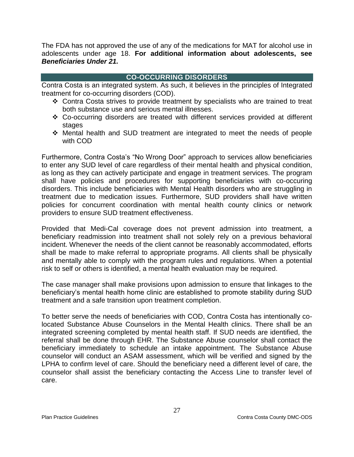The FDA has not approved the use of any of the medications for MAT for alcohol use in adolescents under age 18. **For additional information about adolescents, see**  *Beneficiaries Under 21.*

# **CO-OCCURRING DISORDERS**

<span id="page-27-0"></span>Contra Costa is an integrated system. As such, it believes in the principles of Integrated treatment for co-occurring disorders (COD).

- Contra Costa strives to provide treatment by specialists who are trained to treat both substance use and serious mental illnesses.
- Co-occurring disorders are treated with different services provided at different stages
- Mental health and SUD treatment are integrated to meet the needs of people with COD

Furthermore, Contra Costa's "No Wrong Door" approach to services allow beneficiaries to enter any SUD level of care regardless of their mental health and physical condition, as long as they can actively participate and engage in treatment services. The program shall have policies and procedures for supporting beneficiaries with co-occuring disorders. This include beneficiaries with Mental Health disorders who are struggling in treatment due to medication issues. Furthermore, SUD providers shall have written policies for concurrent coordination with mental health county clinics or network providers to ensure SUD treatment effectiveness.

Provided that Medi-Cal coverage does not prevent admission into treatment, a beneficiary readmission into treatment shall not solely rely on a previous behavioral incident. Whenever the needs of the client cannot be reasonably accommodated, efforts shall be made to make referral to appropriate programs. All clients shall be physically and mentally able to comply with the program rules and regulations. When a potential risk to self or others is identified, a mental health evaluation may be required.

The case manager shall make provisions upon admission to ensure that linkages to the beneficiary's mental health home clinic are established to promote stability during SUD treatment and a safe transition upon treatment completion.

To better serve the needs of beneficiaries with COD, Contra Costa has intentionally colocated Substance Abuse Counselors in the Mental Health clinics. There shall be an integrated screening completed by mental health staff. If SUD needs are identified, the referral shall be done through EHR. The Substance Abuse counselor shall contact the beneficiary immediately to schedule an intake appointment. The Substance Abuse counselor will conduct an ASAM assessment, which will be verified and signed by the LPHA to confirm level of care. Should the beneficiary need a different level of care, the counselor shall assist the beneficiary contacting the Access Line to transfer level of care.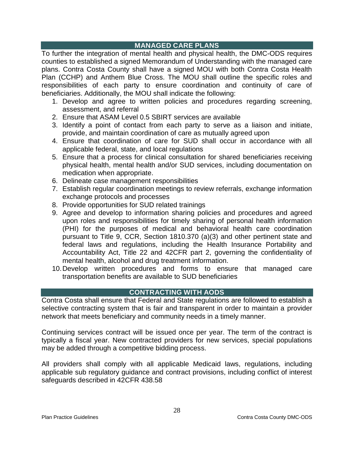# **MANAGED CARE PLANS**

<span id="page-28-0"></span>To further the integration of mental health and physical health, the DMC-ODS requires counties to established a signed Memorandum of Understanding with the managed care plans. Contra Costa County shall have a signed MOU with both Contra Costa Health Plan (CCHP) and Anthem Blue Cross. The MOU shall outline the specific roles and responsibilities of each party to ensure coordination and continuity of care of beneficiaries. Additionally, the MOU shall indicate the following:

- 1. Develop and agree to written policies and procedures regarding screening, assessment, and referral
- 2. Ensure that ASAM Level 0.5 SBIRT services are available
- 3. Identify a point of contact from each party to serve as a liaison and initiate, provide, and maintain coordination of care as mutually agreed upon
- 4. Ensure that coordination of care for SUD shall occur in accordance with all applicable federal, state, and local regulations
- 5. Ensure that a process for clinical consultation for shared beneficiaries receiving physical health, mental health and/or SUD services, including documentation on medication when appropriate.
- 6. Delineate case management responsibilities
- 7. Establish regular coordination meetings to review referrals, exchange information exchange protocols and processes
- 8. Provide opportunities for SUD related trainings
- 9. Agree and develop to information sharing policies and procedures and agreed upon roles and responsibilities for timely sharing of personal health information (PHI) for the purposes of medical and behavioral health care coordination pursuant to Title 9, CCR, Section 1810.370 (a)(3) and other pertinent state and federal laws and regulations, including the Health Insurance Portability and Accountability Act, Title 22 and 42CFR part 2, governing the confidentiality of mental health, alcohol and drug treatment information.
- 10.Develop written procedures and forms to ensure that managed care transportation benefits are available to SUD beneficiaries

# **CONTRACTING WITH AODS**

<span id="page-28-1"></span>Contra Costa shall ensure that Federal and State regulations are followed to establish a selective contracting system that is fair and transparent in order to maintain a provider network that meets beneficiary and community needs in a timely manner.

Continuing services contract will be issued once per year. The term of the contract is typically a fiscal year. New contracted providers for new services, special populations may be added through a competitive bidding process.

All providers shall comply with all applicable Medicaid laws, regulations, including applicable sub regulatory guidance and contract provisions, including conflict of interest safeguards described in 42CFR 438.58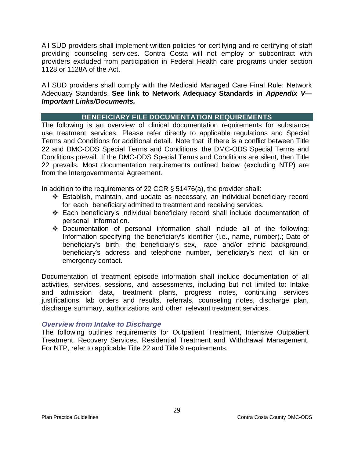All SUD providers shall implement written policies for certifying and re-certifying of staff providing counseling services. Contra Costa will not employ or subcontract with providers excluded from participation in Federal Health care programs under section 1128 or 1128A of the Act.

All SUD providers shall comply with the Medicaid Managed Care Final Rule: Network Adequacy Standards. **See link to Network Adequacy Standards in** *Appendix V— Important Links/Documents.*

# **BENEFICIARY FILE DOCUMENTATION REQUIREMENTS**

<span id="page-29-0"></span>The following is an overview of clinical documentation requirements for substance use treatment services. Please refer directly to applicable regulations and Special Terms and Conditions for additional detail. Note that if there is a conflict between Title 22 and DMC-ODS Special Terms and Conditions, the DMC-ODS Special Terms and Conditions prevail. If the DMC-ODS Special Terms and Conditions are silent, then Title 22 prevails. Most documentation requirements outlined below (excluding NTP) are from the Intergovernmental Agreement.

In addition to the requirements of 22 CCR  $\S$  51476(a), the provider shall:

- Establish, maintain, and update as necessary, an individual beneficiary record for each beneficiary admitted to treatment and receiving services.
- Each beneficiary's individual beneficiary record shall include documentation of personal information.
- Documentation of personal information shall include all of the following: Information specifying the beneficiary's identifier (i.e., name, number).; Date of beneficiary's birth, the beneficiary's sex, race and/or ethnic background, beneficiary's address and telephone number, beneficiary's next of kin or emergency contact.

Documentation of treatment episode information shall include documentation of all activities, services, sessions, and assessments, including but not limited to: Intake and admission data, treatment plans, progress notes, continuing services justifications, lab orders and results, referrals, counseling notes, discharge plan, discharge summary, authorizations and other relevant treatment services.

## <span id="page-29-1"></span>*Overview from Intake to Discharge*

The following outlines requirements for Outpatient Treatment, Intensive Outpatient Treatment, Recovery Services, Residential Treatment and Withdrawal Management. For NTP, refer to applicable Title 22 and Title 9 requirements.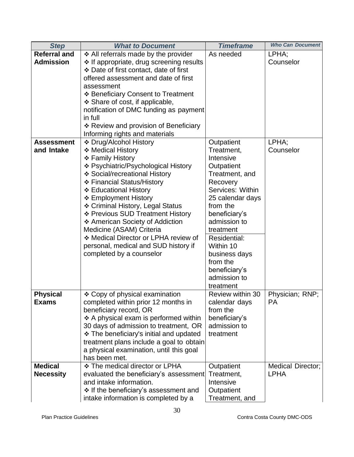| <b>Step</b>         | <b>What to Document</b>                       | <b>Timeframe</b>             | <b>Who Can Document</b>  |
|---------------------|-----------------------------------------------|------------------------------|--------------------------|
| <b>Referral and</b> | ❖ All referrals made by the provider          | As needed                    | LPHA;                    |
| <b>Admission</b>    | ❖ If appropriate, drug screening results      |                              | Counselor                |
|                     | ❖ Date of first contact, date of first        |                              |                          |
|                     | offered assessment and date of first          |                              |                          |
|                     | assessment                                    |                              |                          |
|                     | ❖ Beneficiary Consent to Treatment            |                              |                          |
|                     | $\div$ Share of cost, if applicable,          |                              |                          |
|                     | notification of DMC funding as payment        |                              |                          |
|                     | in full                                       |                              |                          |
|                     | ❖ Review and provision of Beneficiary         |                              |                          |
|                     | Informing rights and materials                |                              |                          |
| <b>Assessment</b>   | ❖ Drug/Alcohol History                        | Outpatient                   | LPHA;                    |
| and Intake          | ❖ Medical History                             | Treatment,                   | Counselor                |
|                     | ❖ Family History                              | Intensive                    |                          |
|                     | ❖ Psychiatric/Psychological History           | Outpatient                   |                          |
|                     | ❖ Social/recreational History                 | Treatment, and               |                          |
|                     | ❖ Financial Status/History                    | Recovery<br>Services: Within |                          |
|                     | ❖ Educational History<br>❖ Employment History |                              |                          |
|                     | ❖ Criminal History, Legal Status              | 25 calendar days<br>from the |                          |
|                     | ❖ Previous SUD Treatment History              | beneficiary's                |                          |
|                     | ❖ American Society of Addiction               | admission to                 |                          |
|                     | Medicine (ASAM) Criteria                      | treatment                    |                          |
|                     | ❖ Medical Director or LPHA review of          | <b>Residential:</b>          |                          |
|                     | personal, medical and SUD history if          | Within 10                    |                          |
|                     | completed by a counselor                      | business days                |                          |
|                     |                                               | from the                     |                          |
|                     |                                               | beneficiary's                |                          |
|                     |                                               | admission to                 |                          |
|                     |                                               | treatment                    |                          |
| <b>Physical</b>     | ❖ Copy of physical examination                | Review within 30             | Physician; RNP;          |
| <b>Exams</b>        | completed within prior 12 months in           | calendar days                | PА                       |
|                     | beneficiary record, OR                        | from the                     |                          |
|                     | ❖ A physical exam is performed within         | beneficiary's                |                          |
|                     | 30 days of admission to treatment, OR         | admission to                 |                          |
|                     | ❖ The beneficiary's initial and updated       | treatment                    |                          |
|                     | treatment plans include a goal to obtain      |                              |                          |
|                     | a physical examination, until this goal       |                              |                          |
|                     | has been met.                                 |                              |                          |
| <b>Medical</b>      | ❖ The medical director or LPHA                | Outpatient                   | <b>Medical Director;</b> |
| <b>Necessity</b>    | evaluated the beneficiary's assessment        | Treatment,                   | <b>LPHA</b>              |
|                     | and intake information.                       | Intensive                    |                          |
|                     | ❖ If the beneficiary's assessment and         | Outpatient                   |                          |
|                     | intake information is completed by a          | Treatment, and               |                          |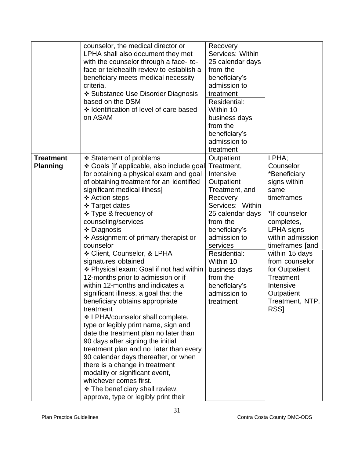|                                     | counselor, the medical director or<br>LPHA shall also document they met<br>with the counselor through a face- to-<br>face or telehealth review to establish a<br>beneficiary meets medical necessity<br>criteria.<br>❖ Substance Use Disorder Diagnosis<br>based on the DSM<br>❖ Identification of level of care based<br>on ASAM                                                                                                                                                                                                                                                                                                                                                                                                                                                                                                                                                                                                                                                                                                          | Recovery<br>Services: Within<br>25 calendar days<br>from the<br>beneficiary's<br>admission to<br>treatment<br>Residential:<br>Within 10<br>business days<br>from the<br>beneficiary's<br>admission to<br>treatment                                                                         |                                                                                                                                                                                                                                                                                                          |
|-------------------------------------|--------------------------------------------------------------------------------------------------------------------------------------------------------------------------------------------------------------------------------------------------------------------------------------------------------------------------------------------------------------------------------------------------------------------------------------------------------------------------------------------------------------------------------------------------------------------------------------------------------------------------------------------------------------------------------------------------------------------------------------------------------------------------------------------------------------------------------------------------------------------------------------------------------------------------------------------------------------------------------------------------------------------------------------------|--------------------------------------------------------------------------------------------------------------------------------------------------------------------------------------------------------------------------------------------------------------------------------------------|----------------------------------------------------------------------------------------------------------------------------------------------------------------------------------------------------------------------------------------------------------------------------------------------------------|
| <b>Treatment</b><br><b>Planning</b> | ❖ Statement of problems<br>❖ Goals [If applicable, also include goal<br>for obtaining a physical exam and goal<br>of obtaining treatment for an identified<br>significant medical illness]<br>❖ Action steps<br>❖ Target dates<br>❖ Type & frequency of<br>counseling/services<br>❖ Diagnosis<br>❖ Assignment of primary therapist or<br>counselor<br>❖ Client, Counselor, & LPHA<br>signatures obtained<br>❖ Physical exam: Goal if not had within<br>12-months prior to admission or if<br>within 12-months and indicates a<br>significant illness, a goal that the<br>beneficiary obtains appropriate<br>treatment<br>❖ LPHA/counselor shall complete,<br>type or legibly print name, sign and<br>date the treatment plan no later than<br>90 days after signing the initial<br>treatment plan and no later than every<br>90 calendar days thereafter, or when<br>there is a change in treatment<br>modality or significant event,<br>whichever comes first.<br>❖ The beneficiary shall review,<br>approve, type or legibly print their | Outpatient<br>Treatment,<br>Intensive<br>Outpatient<br>Treatment, and<br>Recovery<br>Services: Within<br>25 calendar days<br>from the<br>beneficiary's<br>admission to<br>services<br>Residential:<br>Within 10<br>business days<br>from the<br>beneficiary's<br>admission to<br>treatment | LPHA;<br>Counselor<br>*Beneficiary<br>signs within<br>same<br>timeframes<br>*If counselor<br>completes,<br><b>LPHA</b> signs<br>within admission<br>timeframes [and<br>within 15 days<br>from counselor<br>for Outpatient<br>Treatment<br>Intensive<br>Outpatient<br>Treatment, NTP,<br>RSS <sub>I</sub> |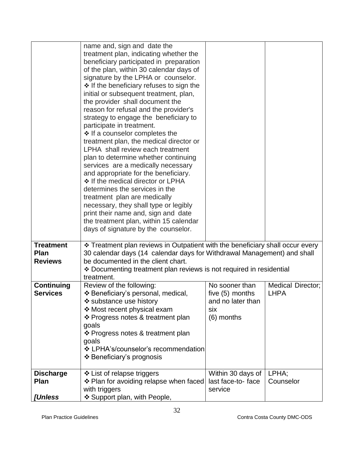|                                                                                                               | name and, sign and date the<br>treatment plan, indicating whether the<br>beneficiary participated in preparation<br>of the plan, within 30 calendar days of<br>signature by the LPHA or counselor.                                                                                                                                                                                                                                                                                                                                                                                                                                                                                                                     |                                                                                 |                                         |
|---------------------------------------------------------------------------------------------------------------|------------------------------------------------------------------------------------------------------------------------------------------------------------------------------------------------------------------------------------------------------------------------------------------------------------------------------------------------------------------------------------------------------------------------------------------------------------------------------------------------------------------------------------------------------------------------------------------------------------------------------------------------------------------------------------------------------------------------|---------------------------------------------------------------------------------|-----------------------------------------|
| participate in treatment.                                                                                     | ❖ If the beneficiary refuses to sign the<br>initial or subsequent treatment, plan,<br>the provider shall document the<br>reason for refusal and the provider's<br>strategy to engage the beneficiary to<br>❖ If a counselor completes the<br>treatment plan, the medical director or<br>LPHA shall review each treatment<br>plan to determine whether continuing<br>services are a medically necessary<br>and appropriate for the beneficiary.<br>❖ If the medical director or LPHA<br>determines the services in the<br>treatment plan are medically<br>necessary, they shall type or legibly<br>print their name and, sign and date<br>the treatment plan, within 15 calendar<br>days of signature by the counselor. |                                                                                 |                                         |
| <b>Treatment</b><br><b>Plan</b><br><b>Reviews</b><br>treatment.                                               | * Treatment plan reviews in Outpatient with the beneficiary shall occur every<br>30 calendar days (14 calendar days for Withdrawal Management) and shall<br>be documented in the client chart.<br>❖ Documenting treatment plan reviews is not required in residential                                                                                                                                                                                                                                                                                                                                                                                                                                                  |                                                                                 |                                         |
| <b>Continuing</b><br>Review of the following:<br><b>Services</b><br>❖ substance use history<br>goals<br>goals | ❖ Beneficiary's personal, medical,<br>❖ Most recent physical exam<br>❖ Progress notes & treatment plan<br>❖ Progress notes & treatment plan<br>❖ LPHA's/counselor's recommendation<br>❖ Beneficiary's prognosis                                                                                                                                                                                                                                                                                                                                                                                                                                                                                                        | No sooner than<br>five $(5)$ months<br>and no later than<br>six<br>$(6)$ months | <b>Medical Director;</b><br><b>LHPA</b> |
| <b>Discharge</b><br>❖ List of relapse triggers<br>Plan<br>with triggers<br>[Unless                            | ❖ Plan for avoiding relapse when faced<br>❖ Support plan, with People,                                                                                                                                                                                                                                                                                                                                                                                                                                                                                                                                                                                                                                                 | Within 30 days of<br>last face-to-face<br>service                               | LPHA:<br>Counselor                      |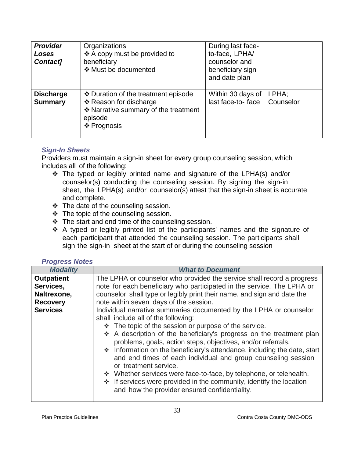| <b>Provider</b><br>Loses<br>Contact] | Organizations<br>❖ A copy must be provided to<br>beneficiary<br>❖ Must be documented                                            | During last face-<br>to-face, LPHA/<br>counselor and<br>beneficiary sign<br>and date plan |                    |
|--------------------------------------|---------------------------------------------------------------------------------------------------------------------------------|-------------------------------------------------------------------------------------------|--------------------|
| <b>Discharge</b><br><b>Summary</b>   | ❖ Duration of the treatment episode<br>❖ Reason for discharge<br>* Narrative summary of the treatment<br>episode<br>❖ Prognosis | Within 30 days of<br>last face-to-face                                                    | LPHA;<br>Counselor |

# <span id="page-33-0"></span>*Sign-In Sheets*

Providers must maintain a sign-in sheet for every group counseling session, which includes all of the following:

- The typed or legibly printed name and signature of the LPHA(s) and/or counselor(s) conducting the counseling session. By signing the sign-in sheet, the LPHA(s) and/or counselor(s) attest that the sign-in sheet is accurate and complete.
- $\div$  The date of the counseling session.
- $\div$  The topic of the counseling session.
- $\div$  The start and end time of the counseling session.
- A typed or legibly printed list of the participants' names and the signature of each participant that attended the counseling session. The participants shall sign the sign-in sheet at the start of or during the counseling session

#### <span id="page-33-1"></span>*Progress Notes*

| <b>Modality</b>   | <b>What to Document</b>                                                                                                                                                                                                                                                                                                                                                                                                                                                                                                                                                                                                                                                     |  |  |  |
|-------------------|-----------------------------------------------------------------------------------------------------------------------------------------------------------------------------------------------------------------------------------------------------------------------------------------------------------------------------------------------------------------------------------------------------------------------------------------------------------------------------------------------------------------------------------------------------------------------------------------------------------------------------------------------------------------------------|--|--|--|
| <b>Outpatient</b> | The LPHA or counselor who provided the service shall record a progress                                                                                                                                                                                                                                                                                                                                                                                                                                                                                                                                                                                                      |  |  |  |
| Services,         | note for each beneficiary who participated in the service. The LPHA or                                                                                                                                                                                                                                                                                                                                                                                                                                                                                                                                                                                                      |  |  |  |
| Naltrexone,       | counselor shall type or legibly print their name, and sign and date the                                                                                                                                                                                                                                                                                                                                                                                                                                                                                                                                                                                                     |  |  |  |
| <b>Recovery</b>   | note within seven days of the session.                                                                                                                                                                                                                                                                                                                                                                                                                                                                                                                                                                                                                                      |  |  |  |
| <b>Services</b>   | Individual narrative summaries documented by the LPHA or counselor<br>shall include all of the following:<br>❖ The topic of the session or purpose of the service.<br>A description of the beneficiary's progress on the treatment plan<br>problems, goals, action steps, objectives, and/or referrals.<br>* Information on the beneficiary's attendance, including the date, start<br>and end times of each individual and group counseling session<br>or treatment service.<br>❖ Whether services were face-to-face, by telephone, or telehealth.<br>❖ If services were provided in the community, identify the location<br>and how the provider ensured confidentiality. |  |  |  |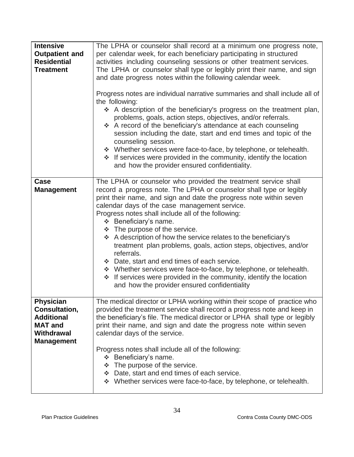| <b>Intensive</b><br><b>Outpatient and</b><br><b>Residential</b><br><b>Treatment</b>                         | The LPHA or counselor shall record at a minimum one progress note,<br>per calendar week, for each beneficiary participating in structured<br>activities including counseling sessions or other treatment services.<br>The LPHA or counselor shall type or legibly print their name, and sign<br>and date progress notes within the following calendar week.<br>Progress notes are individual narrative summaries and shall include all of<br>the following:<br>A description of the beneficiary's progress on the treatment plan,<br>problems, goals, action steps, objectives, and/or referrals.<br>A record of the beneficiary's attendance at each counseling<br>session including the date, start and end times and topic of the<br>counseling session.<br>* Whether services were face-to-face, by telephone, or telehealth.<br>* If services were provided in the community, identify the location<br>and how the provider ensured confidentiality. |
|-------------------------------------------------------------------------------------------------------------|-----------------------------------------------------------------------------------------------------------------------------------------------------------------------------------------------------------------------------------------------------------------------------------------------------------------------------------------------------------------------------------------------------------------------------------------------------------------------------------------------------------------------------------------------------------------------------------------------------------------------------------------------------------------------------------------------------------------------------------------------------------------------------------------------------------------------------------------------------------------------------------------------------------------------------------------------------------|
| Case<br><b>Management</b>                                                                                   | The LPHA or counselor who provided the treatment service shall<br>record a progress note. The LPHA or counselor shall type or legibly<br>print their name, and sign and date the progress note within seven<br>calendar days of the case management service.<br>Progress notes shall include all of the following:<br>❖ Beneficiary's name.<br>❖ The purpose of the service.<br>A description of how the service relates to the beneficiary's<br>treatment plan problems, goals, action steps, objectives, and/or<br>referrals.<br>❖ Date, start and end times of each service.<br>* Whether services were face-to-face, by telephone, or telehealth.<br>❖ If services were provided in the community, identify the location<br>and how the provider ensured confidentiality                                                                                                                                                                              |
| <b>Physician</b><br>Consultation,<br><b>Additional</b><br><b>MAT and</b><br>Withdrawal<br><b>Management</b> | The medical director or LPHA working within their scope of practice who<br>provided the treatment service shall record a progress note and keep in<br>the beneficiary's file. The medical director or LPHA shall type or legibly<br>print their name, and sign and date the progress note within seven<br>calendar days of the service.<br>Progress notes shall include all of the following:<br>❖ Beneficiary's name.<br>❖ The purpose of the service.<br>Date, start and end times of each service.<br>* Whether services were face-to-face, by telephone, or telehealth.                                                                                                                                                                                                                                                                                                                                                                               |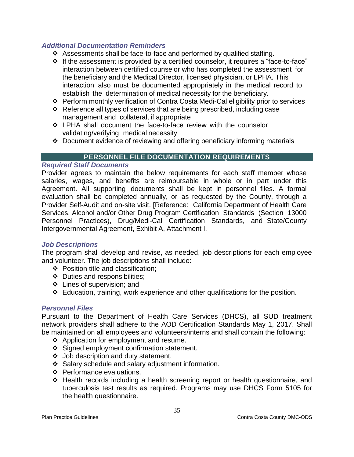## <span id="page-35-0"></span>*Additional Documentation Reminders*

- Assessments shall be face-to-face and performed by qualified staffing.
- If the assessment is provided by a certified counselor, it requires a "face-to-face" interaction between certified counselor who has completed the assessment for the beneficiary and the Medical Director, licensed physician, or LPHA. This interaction also must be documented appropriately in the medical record to establish the determination of medical necessity for the beneficiary.
- Perform monthly verification of Contra Costa Medi-Cal eligibility prior to services
- $\div$  Reference all types of services that are being prescribed, including case management and collateral, if appropriate
- LPHA shall document the face-to-face review with the counselor validating/verifying medical necessity
- Document evidence of reviewing and offering beneficiary informing materials

## **PERSONNEL FILE DOCUMENTATION REQUIREMENTS**

#### <span id="page-35-2"></span><span id="page-35-1"></span>*Required Staff Documents*

Provider agrees to maintain the below requirements for each staff member whose salaries, wages, and benefits are reimbursable in whole or in part under this Agreement. All supporting documents shall be kept in personnel files. A formal evaluation shall be completed annually, or as requested by the County, through a Provider Self-Audit and on-site visit. [Reference: California Department of Health Care Services, Alcohol and/or Other Drug Program Certification Standards (Section 13000 Personnel Practices), Drug/Medi-Cal Certification Standards, and State/County Intergovernmental Agreement, Exhibit A, Attachment I.

#### *Job Descriptions*

The program shall develop and revise, as needed, job descriptions for each employee and volunteer. The job descriptions shall include:

- ❖ Position title and classification:
- Duties and responsibilities;
- Lines of supervision; and
- $\div$  Education, training, work experience and other qualifications for the position.

#### *Personnel Files*

Pursuant to the Department of Health Care Services (DHCS), all SUD treatment network providers shall adhere to the AOD Certification Standards May 1, 2017. Shall be maintained on all employees and volunteers/interns and shall contain the following:

- ❖ Application for employment and resume.
- ❖ Signed employment confirmation statement.
- Job description and duty statement.
- $\div$  Salary schedule and salary adjustment information.
- ❖ Performance evaluations.
- Health records including a health screening report or health questionnaire, and tuberculosis test results as required. Programs may use DHCS Form 5105 for the health questionnaire.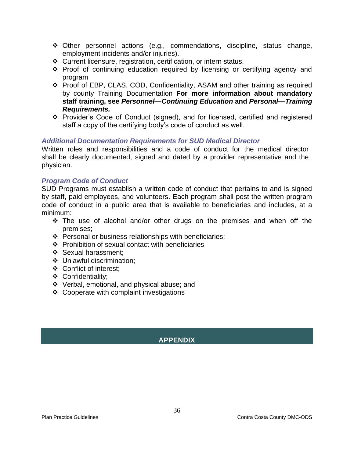- Other personnel actions (e.g., commendations, discipline, status change, employment incidents and/or injuries).
- Current licensure, registration, certification, or intern status.
- \* Proof of continuing education required by licensing or certifying agency and program
- Proof of EBP, CLAS, COD, Confidentiality, ASAM and other training as required by county Training Documentation **For more information about mandatory staff training, see** *Personnel—Continuing Education* **and** *Personal—Training Requirements.*
- \* Provider's Code of Conduct (signed), and for licensed, certified and registered staff a copy of the certifying body's code of conduct as well.

## <span id="page-36-0"></span>*Additional Documentation Requirements for SUD Medical Director*

Written roles and responsibilities and a code of conduct for the medical director shall be clearly documented, signed and dated by a provider representative and the physician.

#### *Program Code of Conduct*

SUD Programs must establish a written code of conduct that pertains to and is signed by staff, paid employees, and volunteers. Each program shall post the written program code of conduct in a public area that is available to beneficiaries and includes, at a minimum:

- $\cdot \cdot$  The use of alcohol and/or other drugs on the premises and when off the premises;
- ❖ Personal or business relationships with beneficiaries;
- $\div$  Prohibition of sexual contact with beneficiaries
- Sexual harassment;
- ❖ Unlawful discrimination;
- Conflict of interest;
- Confidentiality;
- Verbal, emotional, and physical abuse; and
- <span id="page-36-1"></span>Cooperate with complaint investigations

# **APPENDIX**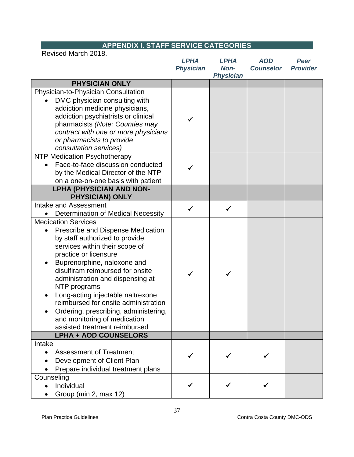<span id="page-37-0"></span>

| <b>APPENDIX I. STAFF SERVICE CATEGORIES</b>                                                                                                                                                                                                                                                                                                                                                                                                                                |                                 |                                         |                                |                                |
|----------------------------------------------------------------------------------------------------------------------------------------------------------------------------------------------------------------------------------------------------------------------------------------------------------------------------------------------------------------------------------------------------------------------------------------------------------------------------|---------------------------------|-----------------------------------------|--------------------------------|--------------------------------|
| Revised March 2018.                                                                                                                                                                                                                                                                                                                                                                                                                                                        | <b>LPHA</b><br><b>Physician</b> | <b>LPHA</b><br>Non-<br><b>Physician</b> | <b>AOD</b><br><b>Counselor</b> | <b>Peer</b><br><b>Provider</b> |
| <b>PHYSICIAN ONLY</b>                                                                                                                                                                                                                                                                                                                                                                                                                                                      |                                 |                                         |                                |                                |
| Physician-to-Physician Consultation<br>DMC physician consulting with<br>$\bullet$<br>addiction medicine physicians,<br>addiction psychiatrists or clinical<br>pharmacists (Note: Counties may<br>contract with one or more physicians<br>or pharmacists to provide<br>consultation services)                                                                                                                                                                               |                                 |                                         |                                |                                |
| NTP Medication Psychotherapy<br>Face-to-face discussion conducted<br>by the Medical Director of the NTP<br>on a one-on-one basis with patient                                                                                                                                                                                                                                                                                                                              |                                 |                                         |                                |                                |
| <b>LPHA (PHYSICIAN AND NON-</b><br><b>PHYSICIAN) ONLY</b>                                                                                                                                                                                                                                                                                                                                                                                                                  |                                 |                                         |                                |                                |
| Intake and Assessment<br>Determination of Medical Necessity                                                                                                                                                                                                                                                                                                                                                                                                                |                                 | ✓                                       |                                |                                |
| <b>Medication Services</b><br>Prescribe and Dispense Medication<br>by staff authorized to provide<br>services within their scope of<br>practice or licensure<br>Buprenorphine, naloxone and<br>disulfiram reimbursed for onsite<br>administration and dispensing at<br>NTP programs<br>Long-acting injectable naltrexone<br>reimbursed for onsite administration<br>Ordering, prescribing, administering,<br>and monitoring of medication<br>assisted treatment reimbursed |                                 |                                         |                                |                                |
| <b>LPHA + AOD COUNSELORS</b>                                                                                                                                                                                                                                                                                                                                                                                                                                               |                                 |                                         |                                |                                |
| Intake<br><b>Assessment of Treatment</b><br>$\bullet$<br>Development of Client Plan<br>Prepare individual treatment plans                                                                                                                                                                                                                                                                                                                                                  |                                 |                                         |                                |                                |
| Counseling<br>Individual<br>Group (min 2, max 12)                                                                                                                                                                                                                                                                                                                                                                                                                          |                                 |                                         |                                |                                |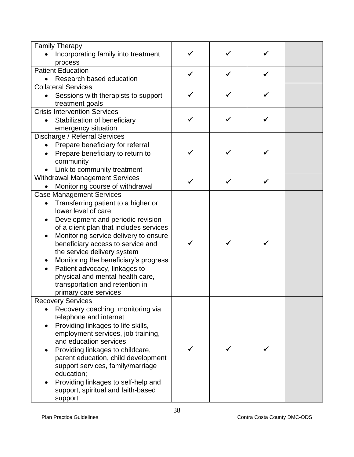| <b>Family Therapy</b><br>Incorporating family into treatment |  |   |  |
|--------------------------------------------------------------|--|---|--|
| process                                                      |  |   |  |
| <b>Patient Education</b>                                     |  |   |  |
| Research based education                                     |  |   |  |
| <b>Collateral Services</b>                                   |  |   |  |
| Sessions with therapists to support                          |  |   |  |
| treatment goals                                              |  |   |  |
| <b>Crisis Intervention Services</b>                          |  |   |  |
| Stabilization of beneficiary                                 |  |   |  |
| emergency situation                                          |  |   |  |
| Discharge / Referral Services                                |  |   |  |
| Prepare beneficiary for referral                             |  |   |  |
| Prepare beneficiary to return to                             |  |   |  |
| community                                                    |  |   |  |
| Link to community treatment                                  |  |   |  |
| <b>Withdrawal Management Services</b>                        |  | ✓ |  |
| Monitoring course of withdrawal                              |  |   |  |
| <b>Case Management Services</b>                              |  |   |  |
| Transferring patient to a higher or                          |  |   |  |
| lower level of care                                          |  |   |  |
| Development and periodic revision                            |  |   |  |
| of a client plan that includes services                      |  |   |  |
| Monitoring service delivery to ensure                        |  |   |  |
| beneficiary access to service and                            |  |   |  |
| the service delivery system                                  |  |   |  |
| Monitoring the beneficiary's progress                        |  |   |  |
| Patient advocacy, linkages to                                |  |   |  |
| physical and mental health care,                             |  |   |  |
| transportation and retention in                              |  |   |  |
| primary care services                                        |  |   |  |
| <b>Recovery Services</b>                                     |  |   |  |
| Recovery coaching, monitoring via                            |  |   |  |
| telephone and internet                                       |  |   |  |
| Providing linkages to life skills,                           |  |   |  |
| employment services, job training,                           |  |   |  |
| and education services                                       |  |   |  |
| Providing linkages to childcare,                             |  |   |  |
| parent education, child development                          |  |   |  |
| support services, family/marriage                            |  |   |  |
| education;                                                   |  |   |  |
| Providing linkages to self-help and                          |  |   |  |
| support, spiritual and faith-based                           |  |   |  |
| support                                                      |  |   |  |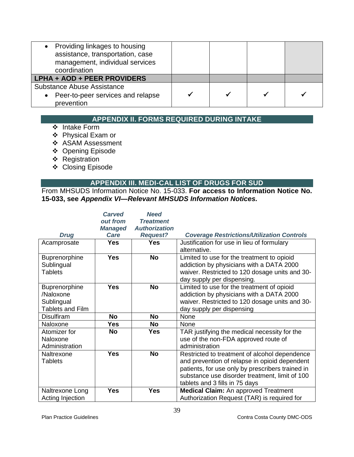| • Providing linkages to housing<br>assistance, transportation, case<br>management, individual services<br>coordination |  |  |
|------------------------------------------------------------------------------------------------------------------------|--|--|
| LPHA + AOD + PEER PROVIDERS                                                                                            |  |  |
| <b>Substance Abuse Assistance</b><br>Peer-to-peer services and relapse<br>$\bullet$<br>prevention                      |  |  |

# **APPENDIX II. FORMS REQUIRED DURING INTAKE**

- <span id="page-39-0"></span>❖ Intake Form
- Physical Exam or
- ❖ ASAM Assessment
- Opening Episode
- **❖** Registration
- ❖ Closing Episode

# **APPENDIX III. MEDI-CAL LIST OF DRUGS FOR SUD**

<span id="page-39-1"></span>From MHSUDS Information Notice No. 15-033. **For access to Information Notice No. 15-033, see** *Appendix VI—Relevant MHSUDS Information Notices.*

|                                                                     | <b>Carved</b><br>out from | <b>Need</b><br><b>Treatment</b> |                                                                                                                                                                                                                                        |
|---------------------------------------------------------------------|---------------------------|---------------------------------|----------------------------------------------------------------------------------------------------------------------------------------------------------------------------------------------------------------------------------------|
|                                                                     | <b>Managed</b>            | <b>Authorization</b>            |                                                                                                                                                                                                                                        |
| <b>Drug</b>                                                         | Care                      | <b>Request?</b>                 | <b>Coverage Restrictions/Utilization Controls</b>                                                                                                                                                                                      |
| Acamprosate                                                         | <b>Yes</b>                | <b>Yes</b>                      | Justification for use in lieu of formulary<br>alternative.                                                                                                                                                                             |
| Buprenorphine<br>Sublingual<br><b>Tablets</b>                       | <b>Yes</b>                | <b>No</b>                       | Limited to use for the treatment to opioid<br>addiction by physicians with a DATA 2000<br>waiver. Restricted to 120 dosage units and 30-<br>day supply per dispensing.                                                                 |
| Buprenorphine<br>/Naloxone<br>Sublingual<br><b>Tablets and Film</b> | <b>Yes</b>                | <b>No</b>                       | Limited to use for the treatment of opioid<br>addiction by physicians with a DATA 2000<br>waiver. Restricted to 120 dosage units and 30-<br>day supply per dispensing                                                                  |
| <b>Disulfiram</b>                                                   | <b>No</b>                 | <b>No</b>                       | None                                                                                                                                                                                                                                   |
| Naloxone                                                            | <b>Yes</b>                | <b>No</b>                       | None                                                                                                                                                                                                                                   |
| Atomizer for<br>Naloxone<br>Administration                          | <b>No</b>                 | Yes                             | TAR justifying the medical necessity for the<br>use of the non-FDA approved route of<br>administration                                                                                                                                 |
| Naltrexone<br>Tablets                                               | <b>Yes</b>                | <b>No</b>                       | Restricted to treatment of alcohol dependence<br>and prevention of relapse in opioid dependent<br>patients, for use only by prescribers trained in<br>substance use disorder treatment, limit of 100<br>tablets and 3 fills in 75 days |
| Naltrexone Long<br>Acting Injection                                 | <b>Yes</b>                | <b>Yes</b>                      | <b>Medical Claim:</b> An approved Treatment<br>Authorization Request (TAR) is required for                                                                                                                                             |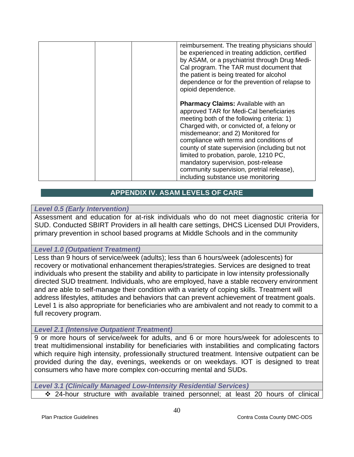| reimbursement. The treating physicians should<br>be experienced in treating addiction, certified<br>by ASAM, or a psychiatrist through Drug Medi-<br>Cal program. The TAR must document that<br>the patient is being treated for alcohol<br>dependence or for the prevention of relapse to<br>opioid dependence.                                                                                                                                                                       |
|----------------------------------------------------------------------------------------------------------------------------------------------------------------------------------------------------------------------------------------------------------------------------------------------------------------------------------------------------------------------------------------------------------------------------------------------------------------------------------------|
| <b>Pharmacy Claims: Available with an</b><br>approved TAR for Medi-Cal beneficiaries<br>meeting both of the following criteria: 1)<br>Charged with, or convicted of, a felony or<br>misdemeanor; and 2) Monitored for<br>compliance with terms and conditions of<br>county of state supervision (including but not<br>limited to probation, parole, 1210 PC,<br>mandatory supervision, post-release<br>community supervision, pretrial release),<br>including substance use monitoring |

# **APPENDIX IV. ASAM LEVELS OF CARE**

#### <span id="page-40-1"></span><span id="page-40-0"></span>*Level 0.5 (Early Intervention)*

Assessment and education for at-risk individuals who do not meet diagnostic criteria for SUD. Conducted SBIRT Providers in all health care settings, DHCS Licensed DUI Providers, primary prevention in school based programs at Middle Schools and in the community

## <span id="page-40-2"></span>*Level 1.0 (Outpatient Treatment)*

Less than 9 hours of service/week (adults); less than 6 hours/week (adolescents) for recovery or motivational enhancement therapies/strategies. Services are designed to treat individuals who present the stability and ability to participate in low intensity professionally directed SUD treatment. Individuals, who are employed, have a stable recovery environment and are able to self-manage their condition with a variety of coping skills. Treatment will address lifestyles, attitudes and behaviors that can prevent achievement of treatment goals. Level 1 is also appropriate for beneficiaries who are ambivalent and not ready to commit to a full recovery program.

## <span id="page-40-3"></span>*Level 2.1 (Intensive Outpatient Treatment)*

9 or more hours of service/week for adults, and 6 or more hours/week for adolescents to treat multidimensional instability for beneficiaries with instabilities and complicating factors which require high intensity, professionally structured treatment. Intensive outpatient can be provided during the day, evenings, weekends or on weekdays. IOT is designed to treat consumers who have more complex con-occurring mental and SUDs.

<span id="page-40-4"></span>*Level 3.1 (Clinically Managed Low-Intensity Residential Services)* 24-hour structure with available trained personnel; at least 20 hours of clinical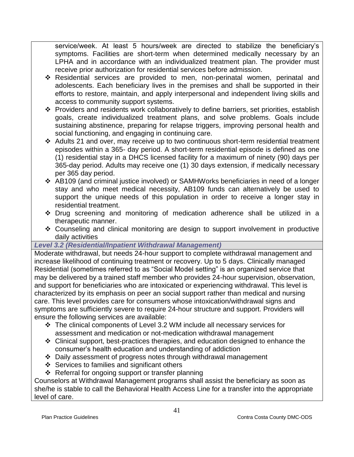service/week. At least 5 hours/week are directed to stabilize the beneficiary's symptoms. Facilities are short-term when determined medically necessary by an LPHA and in accordance with an individualized treatment plan. The provider must receive prior authorization for residential services before admission.

- Residential services are provided to men, non-perinatal women, perinatal and adolescents. Each beneficiary lives in the premises and shall be supported in their efforts to restore, maintain, and apply interpersonal and independent living skills and access to community support systems.
- \* Providers and residents work collaboratively to define barriers, set priorities, establish goals, create individualized treatment plans, and solve problems. Goals include sustaining abstinence, preparing for relapse triggers, improving personal health and social functioning, and engaging in continuing care.
- Adults 21 and over, may receive up to two continuous short-term residential treatment episodes within a 365- day period. A short-term residential episode is defined as one (1) residential stay in a DHCS licensed facility for a maximum of ninety (90) days per 365-day period. Adults may receive one (1) 30 days extension, if medically necessary per 365 day period.
- AB109 (and criminal justice involved) or SAMHWorks beneficiaries in need of a longer stay and who meet medical necessity, AB109 funds can alternatively be used to support the unique needs of this population in order to receive a longer stay in residential treatment.
- Drug screening and monitoring of medication adherence shall be utilized in a therapeutic manner.
- Counseling and clinical monitoring are design to support involvement in productive daily activities

# <span id="page-41-0"></span>*Level 3.2 (Residential/Inpatient Withdrawal Management)*

Moderate withdrawal, but needs 24-hour support to complete withdrawal management and increase likelihood of continuing treatment or recovery. Up to 5 days. Clinically managed Residential (sometimes referred to as "Social Model setting" is an organized service that may be delivered by a trained staff member who provides 24-hour supervision, observation, and support for beneficiaries who are intoxicated or experiencing withdrawal. This level is characterized by its emphasis on peer an social support rather than medical and nursing care. This level provides care for consumers whose intoxication/withdrawal signs and symptoms are sufficiently severe to require 24-hour structure and support. Providers will ensure the following services are available:

- The clinical components of Level 3.2 WM include all necessary services for assessment and medication or not-medication withdrawal management
- Clinical support, best-practices therapies, and education designed to enhance the consumer's health education and understanding of addiction
- Daily assessment of progress notes through withdrawal management
- $\div$  Services to families and significant others
- ❖ Referral for ongoing support or transfer planning

Counselors at Withdrawal Management programs shall assist the beneficiary as soon as she/he is stable to call the Behavioral Health Access Line for a transfer into the appropriate level of care.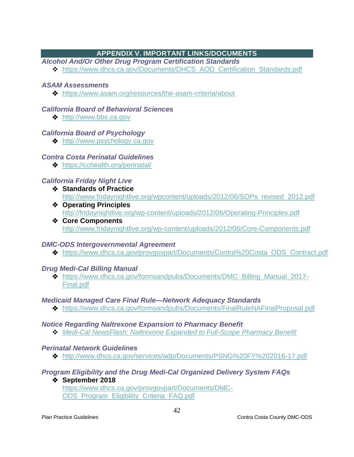# **APPENDIX V. IMPORTANT LINKS/DOCUMENTS**

<span id="page-42-1"></span><span id="page-42-0"></span>*Alcohol And/Or Other Drug Program Certification Standards*

◆ [https://www.dhcs.ca.gov/Documents/DHCS\\_AOD\\_Certification\\_Standards.pdf](https://www.dhcs.ca.gov/Documents/DHCS_AOD_Certification_Standards.pdf)

# <span id="page-42-2"></span>*ASAM Assessments*

<https://www.asam.org/resources/the-asam-criteria/about>

# <span id="page-42-3"></span>*California Board of Behavioral Sciences*

**❖** [http://www.bbs.ca.gov](http://www.bbs.ca.gov/)

# <span id="page-42-4"></span>*California Board of Psychology*

◆ [http://www.psychology.ca.gov](http://www.psychology.ca.gov/)

# <span id="page-42-5"></span>*Contra Costa Perinatal Guidelines*

<https://cchealth.org/perinatal/>

# <span id="page-42-6"></span>*California Friday Night Live*

- **Standards of Practice** [http://www.fridaynightlive.org/wpcontent/uploads/2012/06/SOPs\\_revised\\_2012.pdf](http://www.fridaynightlive.org/wp-content/uploads/2012/06/SOPs_revised_2012.pdf)
- **Operating Principles**  <http://fridaynightlive.org/wp-content/uploads/2012/06/Operating-Principles.pdf>
- **Core Components**  <http://www.fridaynightlive.org/wp-content/uploads/2012/06/Core-Components.pdf>

# <span id="page-42-7"></span>*DMC-ODS Intergovernmental Agreement*

[https://www.dhcs.ca.gov/provgovpart/Documents/Contra%20Costa\\_ODS\\_Contract.pdf](https://www.dhcs.ca.gov/provgovpart/Documents/Contra%20Costa_ODS_Contract.pdf)

# <span id="page-42-8"></span>*Drug Medi-Cal Billing Manual*

 [https://www.dhcs.ca.gov/formsandpubs/Documents/DMC\\_Billing\\_Manual\\_2017-](https://www.dhcs.ca.gov/formsandpubs/Documents/DMC_Billing_Manual_2017-Final.pdf) [Final.pdf](https://www.dhcs.ca.gov/formsandpubs/Documents/DMC_Billing_Manual_2017-Final.pdf)

# <span id="page-42-9"></span>*Medicaid Managed Care Final Rule—Network Adequacy Standards*

<https://www.dhcs.ca.gov/formsandpubs/Documents/FinalRuleNAFinalProposal.pdf>

## <span id="page-42-10"></span>*Notice Regarding Naltrexone Expansion to Pharmacy Benefit*

*[Medi-Cal NewsFlash: Naltrexone Expanded to Full-Scope Pharmacy Benefit](http://files.medi-cal.ca.gov/pubsdoco/newsroom/newsroom_26466.asp)*

# <span id="page-42-11"></span>*Perinatal Network Guidelines*

<http://www.dhcs.ca.gov/services/adp/Documents/PSNG%20FY%202016-17.pdf>

# <span id="page-42-12"></span>*Program Eligibility and the Drug Medi-Cal Organized Delivery System FAQs*

 **September 2018**  [https://www.dhcs.ca.gov/provgovpart/Documents/DMC-](https://www.dhcs.ca.gov/provgovpart/Documents/DMC-ODS_Program_Eligibility_Criteria_FAQ.pdf)[ODS\\_Program\\_Eligibility\\_Criteria\\_FAQ.pdf](https://www.dhcs.ca.gov/provgovpart/Documents/DMC-ODS_Program_Eligibility_Criteria_FAQ.pdf)